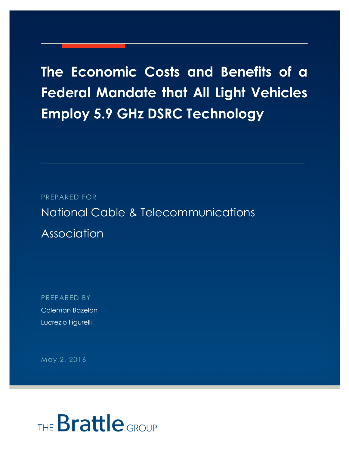## **The Economic Costs and Benefits of a Federal Mandate that All Light Vehicles Employ 5.9 GHz DSRC Technology**

PREPARED FOR

National Cable & Telecommunications Association

PREPARED BY Coleman Bazelon Lucrezio Figurelli

May 2, 2016

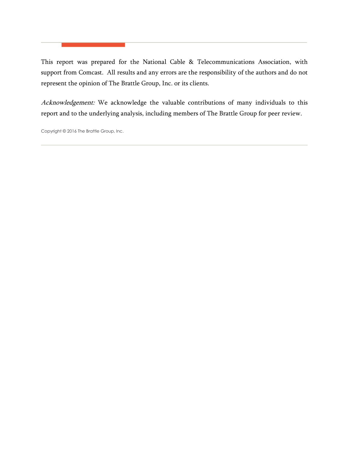This report was prepared for the National Cable & Telecommunications Association, with support from Comcast. All results and any errors are the responsibility of the authors and do not represent the opinion of The Brattle Group, Inc. or its clients.

Acknowledgement: We acknowledge the valuable contributions of many individuals to this report and to the underlying analysis, including members of The Brattle Group for peer review.

Copyright © 2016 The Brattle Group, Inc.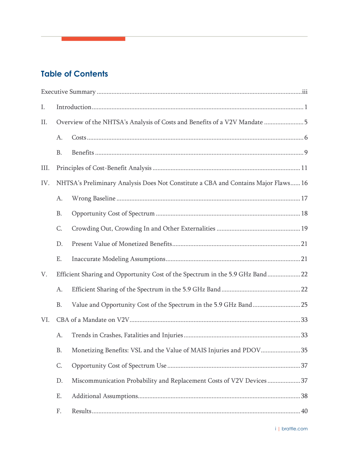## **Table of Contents**

| Ι.   |           |                                                                                    |
|------|-----------|------------------------------------------------------------------------------------|
| П.   |           | Overview of the NHTSA's Analysis of Costs and Benefits of a V2V Mandate 5          |
|      | A.        |                                                                                    |
|      | <b>B.</b> |                                                                                    |
| III. |           |                                                                                    |
| IV.  |           | NHTSA's Preliminary Analysis Does Not Constitute a CBA and Contains Major Flaws 16 |
|      | A.        |                                                                                    |
|      | <b>B.</b> |                                                                                    |
|      | C.        |                                                                                    |
|      | D.        |                                                                                    |
|      | Ε.        |                                                                                    |
| V.   |           | Efficient Sharing and Opportunity Cost of the Spectrum in the 5.9 GHz Band 22      |
|      | A.        |                                                                                    |
|      | <b>B.</b> | Value and Opportunity Cost of the Spectrum in the 5.9 GHz Band25                   |
| VI.  |           |                                                                                    |
|      | A.        |                                                                                    |
|      | <b>B.</b> | Monetizing Benefits: VSL and the Value of MAIS Injuries and PDOV35                 |
|      | C.        |                                                                                    |
|      | D.        | Miscommunication Probability and Replacement Costs of V2V Devices37                |
|      | Ε.        |                                                                                    |
|      | F.        |                                                                                    |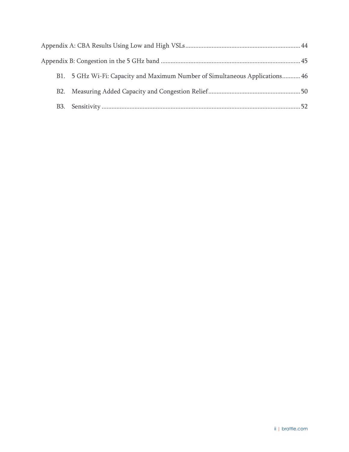| B1. 5 GHz Wi-Fi: Capacity and Maximum Number of Simultaneous Applications 46 |  |
|------------------------------------------------------------------------------|--|
|                                                                              |  |
|                                                                              |  |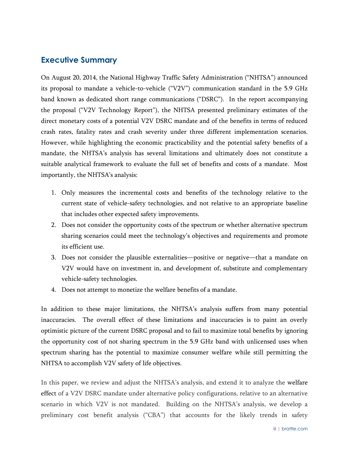## <span id="page-4-0"></span>**Executive Summary**

On August 20, 2014, the National Highway Traffic Safety Administration ("NHTSA") announced its proposal to mandate a vehicle-to-vehicle ("V2V") communication standard in the 5.9 GHz band known as dedicated short range communications ("DSRC"). In the report accompanying the proposal ("V2V Technology Report"), the NHTSA presented preliminary estimates of the direct monetary costs of a potential V2V DSRC mandate and of the benefits in terms of reduced crash rates, fatality rates and crash severity under three different implementation scenarios. However, while highlighting the economic practicability and the potential safety benefits of a mandate, the NHTSA's analysis has several limitations and ultimately does not constitute a suitable analytical framework to evaluate the full set of benefits and costs of a mandate. Most importantly, the NHTSA's analysis:

- 1. Only measures the incremental costs and benefits of the technology relative to the current state of vehicle-safety technologies, and not relative to an appropriate baseline that includes other expected safety improvements.
- 2. Does not consider the opportunity costs of the spectrum or whether alternative spectrum sharing scenarios could meet the technology's objectives and requirements and promote its efficient use.
- 3. Does not consider the plausible externalities—positive or negative—that a mandate on V2V would have on investment in, and development of, substitute and complementary vehicle-safety technologies.
- 4. Does not attempt to monetize the welfare benefits of a mandate.

In addition to these major limitations, the NHTSA's analysis suffers from many potential inaccuracies. The overall effect of these limitations and inaccuracies is to paint an overly optimistic picture of the current DSRC proposal and to fail to maximize total benefits by ignoring the opportunity cost of not sharing spectrum in the 5.9 GHz band with unlicensed uses when spectrum sharing has the potential to maximize consumer welfare while still permitting the NHTSA to accomplish V2V safety of life objectives.

In this paper, we review and adjust the NHTSA's analysis, and extend it to analyze the welfare effect of a V2V DSRC mandate under alternative policy configurations, relative to an alternative scenario in which V2V is not mandated. Building on the NHTSA's analysis, we develop a preliminary cost benefit analysis ("CBA") that accounts for the likely trends in safety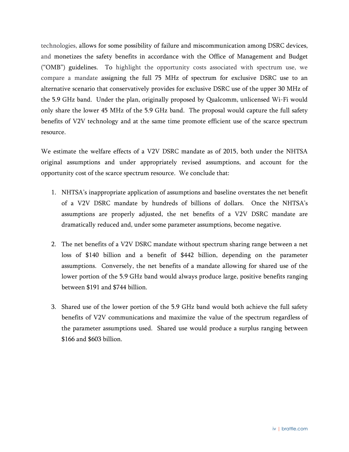technologies, allows for some possibility of failure and miscommunication among DSRC devices, and monetizes the safety benefits in accordance with the Office of Management and Budget ("OMB") guidelines. To highlight the opportunity costs associated with spectrum use, we compare a mandate assigning the full 75 MHz of spectrum for exclusive DSRC use to an alternative scenario that conservatively provides for exclusive DSRC use of the upper 30 MHz of the 5.9 GHz band. Under the plan, originally proposed by Qualcomm, unlicensed Wi-Fi would only share the lower 45 MHz of the 5.9 GHz band. The proposal would capture the full safety benefits of V2V technology and at the same time promote efficient use of the scarce spectrum resource.

We estimate the welfare effects of a V2V DSRC mandate as of 2015, both under the NHTSA original assumptions and under appropriately revised assumptions, and account for the opportunity cost of the scarce spectrum resource. We conclude that:

- 1. NHTSA's inappropriate application of assumptions and baseline overstates the net benefit of a V2V DSRC mandate by hundreds of billions of dollars. Once the NHTSA's assumptions are properly adjusted, the net benefits of a V2V DSRC mandate are dramatically reduced and, under some parameter assumptions, become negative.
- 2. The net benefits of a V2V DSRC mandate without spectrum sharing range between a net loss of \$140 billion and a benefit of \$442 billion, depending on the parameter assumptions. Conversely, the net benefits of a mandate allowing for shared use of the lower portion of the 5.9 GHz band would always produce large, positive benefits ranging between \$191 and \$744 billion.
- 3. Shared use of the lower portion of the 5.9 GHz band would both achieve the full safety benefits of V2V communications and maximize the value of the spectrum regardless of the parameter assumptions used. Shared use would produce a surplus ranging between \$166 and \$603 billion.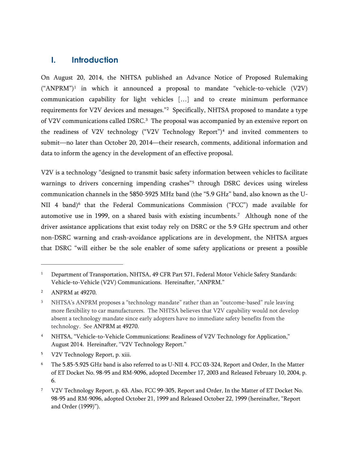## <span id="page-6-0"></span>**I. Introduction**

On August 20, 2014, the NHTSA published an Advance Notice of Proposed Rulemaking  $("ANPRM")<sup>1</sup>$  $("ANPRM")<sup>1</sup>$  $("ANPRM")<sup>1</sup>$  in which it announced a proposal to mandate "vehicle-to-vehicle  $(V2V)$ communication capability for light vehicles […] and to create minimum performance requirements for V[2](#page-6-2)V devices and messages."<sup>2</sup> Specifically, NHTSA proposed to mandate a type of V2V communications called DSRC.<sup>[3](#page-6-3)</sup> The proposal was accompanied by an extensive report on the readiness of V2V technology ("V2V Technology Report")[4](#page-6-4) and invited commenters to submit—no later than October 20, 2014—their research, comments, additional information and data to inform the agency in the development of an effective proposal.

V2V is a technology "designed to transmit basic safety information between vehicles to facilitate warnings to drivers concerning impending crashes"<sup>[5](#page-6-5)</sup> through DSRC devices using wireless communication channels in the 5850-5925 MHz band (the "5.9 GHz" band, also known as the U-NII 4 band)<sup>[6](#page-6-6)</sup> that the Federal Communications Commission ("FCC") made available for automotive use in 1999, on a shared basis with existing incumbents. [7](#page-6-7) Although none of the driver assistance applications that exist today rely on DSRC or the 5.9 GHz spectrum and other non-DSRC warning and crash-avoidance applications are in development, the NHTSA argues that DSRC "will either be the sole enabler of some safety applications or present a possible

 $\overline{a}$ 

<span id="page-6-5"></span><sup>5</sup> V2V Technology Report, p. xiii.

<span id="page-6-1"></span><sup>&</sup>lt;sup>1</sup> Department of Transportation, NHTSA, 49 CFR Part 571, Federal Motor Vehicle Safety Standards: Vehicle-to-Vehicle (V2V) Communications. Hereinafter, "ANPRM."

<span id="page-6-2"></span><sup>2</sup> ANPRM at 49270.

<span id="page-6-3"></span><sup>&</sup>lt;sup>3</sup> NHTSA's ANPRM proposes a "technology mandate" rather than an "outcome-based" rule leaving more flexibility to car manufacturers. The NHTSA believes that V2V capability would not develop absent a technology mandate since early adopters have no immediate safety benefits from the technology. See ANPRM at 49270.

<span id="page-6-4"></span><sup>4</sup> NHTSA, "Vehicle-to-Vehicle Communications: Readiness of V2V Technology for Application," August 2014. Hereinafter, "V2V Technology Report."

<span id="page-6-6"></span><sup>6</sup> The 5.85-5.925 GHz band is also referred to as U-NII 4. FCC 03-324, Report and Order, In the Matter of ET Docket No. 98-95 and RM-9096, adopted December 17, 2003 and Released February 10, 2004, p. 6.

<span id="page-6-7"></span><sup>7</sup> V2V Technology Report, p. 63. Also, FCC 99-305, Report and Order, In the Matter of ET Docket No. 98-95 and RM-9096, adopted October 21, 1999 and Released October 22, 1999 (hereinafter, "Report and Order (1999)").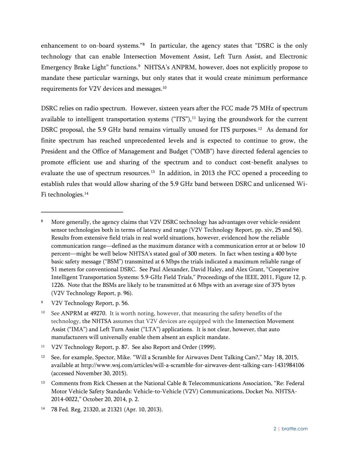<span id="page-7-7"></span>enhancement to on-board systems.["8](#page-7-0) In particular, the agency states that "DSRC is the only technology that can enable Intersection Movement Assist, Left Turn Assist, and Electronic Emergency Brake Light" functions.<sup>[9](#page-7-1)</sup> NHTSA's ANPRM, however, does not explicitly propose to mandate these particular warnings, but only states that it would create minimum performance requirements for V2V devices and messages. [10](#page-7-2)

DSRC relies on radio spectrum. However, sixteen years after the FCC made 75 MHz of spectrum available to intelligent transportation systems  $("ITS"),<sup>11</sup>$  $("ITS"),<sup>11</sup>$  $("ITS"),<sup>11</sup>$  laying the groundwork for the current DSRC proposal, the 5.9 GHz band remains virtually unused for ITS purposes.<sup>12</sup> As demand for finite spectrum has reached unprecedented levels and is expected to continue to grow, the President and the Office of Management and Budget ("OMB") have directed federal agencies to promote efficient use and sharing of the spectrum and to conduct cost-benefit analyses to evaluate the use of spectrum resources.<sup>[13](#page-7-5)</sup> In addition, in 2013 the FCC opened a proceeding to establish rules that would allow sharing of the 5.9 GHz band between DSRC and unlicensed Wi-Fi technologies.<sup>[14](#page-7-6)</sup>

<span id="page-7-1"></span><sup>9</sup> V2V Technology Report, p. 56.

<span id="page-7-0"></span><sup>&</sup>lt;sup>8</sup> More generally, the agency claims that V2V DSRC technology has advantages over vehicle-resident sensor technologies both in terms of latency and range (V2V Technology Report, pp. xiv, 25 and 56). Results from extensive field trials in real world situations, however, evidenced how the reliable communication range—defined as the maximum distance with a communication error at or below 10 percent—might be well below NHTSA's stated goal of 300 meters. In fact when testing a 400 byte basic safety message ("BSM") transmitted at 6 Mbps the trials indicated a maximum reliable range of 51 meters for conventional DSRC. See Paul Alexander, David Haley, and Alex Grant, "Cooperative Intelligent Transportation Systems: 5.9-GHz Field Trials," Proceedings of the IEEE, 2011, Figure 12, p. 1226. Note that the BSMs are likely to be transmitted at 6 Mbps with an average size of 375 bytes (V2V Technology Report, p. 96).

<span id="page-7-2"></span><sup>&</sup>lt;sup>10</sup> See ANPRM at 49270. It is worth noting, however, that measuring the safety benefits of the technology, the NHTSA assumes that V2V devices are equipped with the Intersection Movement Assist ("IMA") and Left Turn Assist ("LTA") applications. It is not clear, however, that auto manufacturers will universally enable them absent an explicit mandate.

<span id="page-7-3"></span><sup>&</sup>lt;sup>11</sup> V2V Technology Report, p. 87. See also Report and Order (1999).

<span id="page-7-4"></span><sup>&</sup>lt;sup>12</sup> See, for example, Spector, Mike. "Will a Scramble for Airwaves Dent Talking Cars?," May 18, 2015, available at http://www.wsj.com/articles/will-a-scramble-for-airwaves-dent-talking-cars-1431984106 (accessed November 30, 2015).

<span id="page-7-5"></span><sup>&</sup>lt;sup>13</sup> Comments from Rick Chessen at the National Cable & Telecommunications Association, "Re: Federal Motor Vehicle Safety Standards: Vehicle-to-Vehicle (V2V) Communications, Docket No. NHTSA-2014-0022," October 20, 2014, p. 2.

<span id="page-7-6"></span><sup>14</sup> 78 Fed. Reg. 21320, at 21321 (Apr. 10, 2013).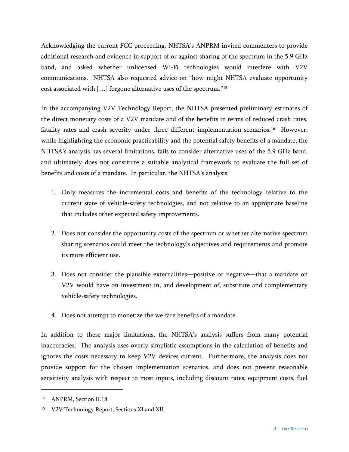Acknowledging the current FCC proceeding, NHTSA's ANPRM invited commenters to provide additional research and evidence in support of or against sharing of the spectrum in the 5.9 GHz band, and asked whether unlicensed Wi-Fi technologies would interfere with V2V communications. NHTSA also requested advice on "how might NHTSA evaluate opportunity cost associated with […] forgone alternative uses of the spectrum."[15](#page-8-0)

In the accompanying V2V Technology Report, the NHTSA presented preliminary estimates of the direct monetary costs of a V2V mandate and of the benefits in terms of reduced crash rates, fatality rates and crash severity under three different implementation scenarios.<sup>16</sup> However, while highlighting the economic practicability and the potential safety benefits of a mandate, the NHTSA's analysis has several limitations, fails to consider alternative uses of the 5.9 GHz band, and ultimately does not constitute a suitable analytical framework to evaluate the full set of benefits and costs of a mandate. In particular, the NHTSA's analysis:

- 1. Only measures the incremental costs and benefits of the technology relative to the current state of vehicle-safety technologies, and not relative to an appropriate baseline that includes other expected safety improvements.
- 2. Does not consider the opportunity costs of the spectrum or whether alternative spectrum sharing scenarios could meet the technology's objectives and requirements and promote its more efficient use.
- 3. Does not consider the plausible externalities—positive or negative—that a mandate on V2V would have on investment in, and development of, substitute and complementary vehicle-safety technologies.
- 4. Does not attempt to monetize the welfare benefits of a mandate.

In addition to these major limitations, the NHTSA's analysis suffers from many potential inaccuracies. The analysis uses overly simplistic assumptions in the calculation of benefits and ignores the costs necessary to keep V2V devices current. Furthermore, the analysis does not provide support for the chosen implementation scenarios, and does not present reasonable sensitivity analysis with respect to most inputs, including discount rates, equipment costs, fuel

<span id="page-8-0"></span><sup>15</sup> ANPRM, Section II.18.

<span id="page-8-1"></span><sup>16</sup> V2V Technology Report, Sections XI and XII.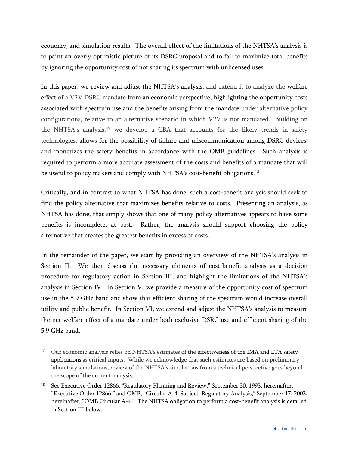economy, and simulation results. The overall effect of the limitations of the NHTSA's analysis is to paint an overly optimistic picture of its DSRC proposal and to fail to maximize total benefits by ignoring the opportunity cost of not sharing its spectrum with unlicensed uses.

In this paper, we review and adjust the NHTSA's analysis, and extend it to analyze the welfare effect of a V2V DSRC mandate from an economic perspective, highlighting the opportunity costs associated with spectrum use and the benefits arising from the mandate under alternative policy configurations, relative to an alternative scenario in which V2V is not mandated. Building on the NHTSA's analysis,<sup>[17](#page-9-0)</sup> we develop a CBA that accounts for the likely trends in safety technologies, allows for the possibility of failure and miscommunication among DSRC devices, and monetizes the safety benefits in accordance with the OMB guidelines. Such analysis is required to perform a more accurate assessment of the costs and benefits of a mandate that will be useful to policy makers and comply with NHTSA's cost-benefit obligations.<sup>18</sup>

Critically, and in contrast to what NHTSA has done, such a cost-benefit analysis should seek to find the policy alternative that maximizes benefits relative to costs. Presenting an analysis, as NHTSA has done, that simply shows that one of many policy alternatives appears to have some benefits is incomplete, at best. Rather, the analysis should support choosing the policy alternative that creates the greatest benefits in excess of costs.

In the remainder of the paper, we start by providing an overview of the NHTSA's analysis in Section II. We then discuss the necessary elements of cost-benefit analysis as a decision procedure for regulatory action in Section [III,](#page-16-0) and highlight the limitations of the NHTSA's analysis in Section [IV.](#page-21-0) In Section [V,](#page-27-0) we provide a measure of the opportunity cost of spectrum use in the 5.9 GHz band and show that efficient sharing of the spectrum would increase overall utility and public benefit. In Section [VI,](#page-38-0) we extend and adjust the NHTSA's analysis to measure the net welfare effect of a mandate under both exclusive DSRC use and efficient sharing of the 5.9 GHz band.

<span id="page-9-0"></span><sup>&</sup>lt;sup>17</sup> Our economic analysis relies on NHTSA's estimates of the effectiveness of the IMA and LTA safety applications as critical inputs. While we acknowledge that such estimates are based on preliminary laboratory simulations, review of the NHTSA's simulations from a technical perspective goes beyond the scope of the current analysis.

<span id="page-9-1"></span><sup>18</sup> See Executive Order 12866, "Regulatory Planning and Review," September 30, 1993, hereinafter, "Executive Order 12866," and OMB, "Circular A-4, Subject: Regulatory Analysis," September 17, 2003, hereinafter, "OMB Circular A-4." The NHTSA obligation to perform a cost-benefit analysis is detailed in Section [III](#page-16-0) below.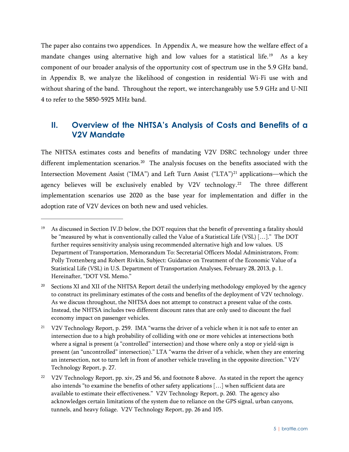The paper also contains two appendices. In Appendix A, we measure how the welfare effect of a mandate changes using alternative high and low values for a statistical life.<sup>19</sup> As a key component of our broader analysis of the opportunity cost of spectrum use in the 5.9 GHz band, in Appendix B, we analyze the likelihood of congestion in residential Wi-Fi use with and without sharing of the band. Throughout the report, we interchangeably use 5.9 GHz and U-NII 4 to refer to the 5850-5925 MHz band.

## <span id="page-10-6"></span><span id="page-10-5"></span><span id="page-10-0"></span>**II. Overview of the NHTSA's Analysis of Costs and Benefits of a V2V Mandate**

The NHTSA estimates costs and benefits of mandating V2V DSRC technology under three different implementation scenarios.<sup>20</sup> The analysis focuses on the benefits associated with the Intersection Movement Assist ("IMA") and Left Turn Assist ("LTA")<sup>[21](#page-10-3)</sup> applications—which the agency believes will be exclusively enabled by V2V technology.<sup>[22](#page-10-4)</sup> The three different implementation scenarios use 2020 as the base year for implementation and differ in the adoption rate of V2V devices on both new and used vehicles.

<span id="page-10-1"></span><sup>&</sup>lt;sup>19</sup> As discussed in Section IV.D below, the DOT requires that the benefit of preventing a fatality should be "measured by what is conventionally called the Value of a Statistical Life (VSL) […]." The DOT further requires sensitivity analysis using recommended alternative high and low values. US Department of Transportation, Memorandum To: Secretarial Officers Modal Administrators, From: Polly Trottenberg and Robert Rivkin, Subject: Guidance on Treatment of the Economic Value of a Statistical Life (VSL) in U.S. Department of Transportation Analyses, February 28, 2013, p. 1. Hereinafter, "DOT VSL Memo."

<span id="page-10-2"></span><sup>&</sup>lt;sup>20</sup> Sections XI and XII of the NHTSA Report detail the underlying methodology employed by the agency to construct its preliminary estimates of the costs and benefits of the deployment of V2V technology. As we discuss throughout, the NHTSA does not attempt to construct a present value of the costs. Instead, the NHTSA includes two different discount rates that are only used to discount the fuel economy impact on passenger vehicles.

<span id="page-10-3"></span><sup>&</sup>lt;sup>21</sup> V2V Technology Report, p. 259. IMA "warns the driver of a vehicle when it is not safe to enter an intersection due to a high probability of colliding with one or more vehicles at intersections both where a signal is present (a "controlled" intersection) and those where only a stop or yield-sign is present (an "uncontrolled" intersection)." LTA "warns the driver of a vehicle, when they are entering an intersection, not to turn left in front of another vehicle traveling in the opposite direction." V2V Technology Report, p. 27.

<span id="page-10-4"></span><sup>&</sup>lt;sup>22</sup> V2V Technology Report, pp. xiv, 25 and 56, and footnot[e 8](#page-7-7) above. As stated in the report the agency also intends "to examine the benefits of other safety applications […] when sufficient data are available to estimate their effectiveness." V2V Technology Report, p. 260. The agency also acknowledges certain limitations of the system due to reliance on the GPS signal, urban canyons, tunnels, and heavy foliage. V2V Technology Report, pp. 26 and 105.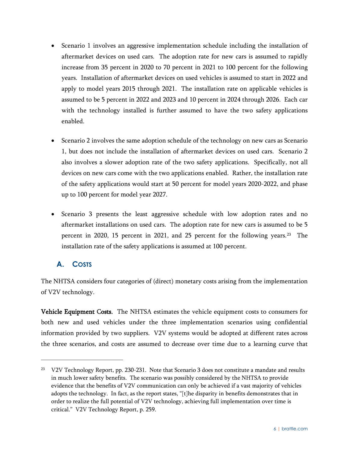- Scenario 1 involves an aggressive implementation schedule including the installation of aftermarket devices on used cars. The adoption rate for new cars is assumed to rapidly increase from 35 percent in 2020 to 70 percent in 2021 to 100 percent for the following years. Installation of aftermarket devices on used vehicles is assumed to start in 2022 and apply to model years 2015 through 2021. The installation rate on applicable vehicles is assumed to be 5 percent in 2022 and 2023 and 10 percent in 2024 through 2026. Each car with the technology installed is further assumed to have the two safety applications enabled.
- Scenario 2 involves the same adoption schedule of the technology on new cars as Scenario 1, but does not include the installation of aftermarket devices on used cars. Scenario 2 also involves a slower adoption rate of the two safety applications. Specifically, not all devices on new cars come with the two applications enabled. Rather, the installation rate of the safety applications would start at 50 percent for model years 2020-2022, and phase up to 100 percent for model year 2027.
- Scenario 3 presents the least aggressive schedule with low adoption rates and no aftermarket installations on used cars. The adoption rate for new cars is assumed to be 5 percent in 2020, 15 percent in 2021, and 25 percent for the following years.[23](#page-11-1) The installation rate of the safety applications is assumed at 100 percent.

## <span id="page-11-0"></span>**A. COSTS**

 $\overline{a}$ 

The NHTSA considers four categories of (direct) monetary costs arising from the implementation of V2V technology.

Vehicle Equipment Costs. The NHTSA estimates the vehicle equipment costs to consumers for both new and used vehicles under the three implementation scenarios using confidential information provided by two suppliers. V2V systems would be adopted at different rates across the three scenarios, and costs are assumed to decrease over time due to a learning curve that

<span id="page-11-1"></span><sup>&</sup>lt;sup>23</sup> V2V Technology Report, pp. 230-231. Note that Scenario 3 does not constitute a mandate and results in much lower safety benefits. The scenario was possibly considered by the NHTSA to provide evidence that the benefits of V2V communication can only be achieved if a vast majority of vehicles adopts the technology. In fact, as the report states, "[t]he disparity in benefits demonstrates that in order to realize the full potential of V2V technology, achieving full implementation over time is critical." V2V Technology Report, p. 259.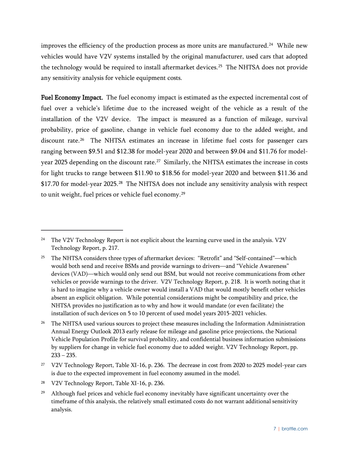improves the efficiency of the production process as more units are manufactured. [24](#page-12-0) While new vehicles would have V2V systems installed by the original manufacturer, used cars that adopted the technology would be required to install aftermarket devices.<sup>[25](#page-12-1)</sup> The NHTSA does not provide any sensitivity analysis for vehicle equipment costs.

Fuel Economy Impact. The fuel economy impact is estimated as the expected incremental cost of fuel over a vehicle's lifetime due to the increased weight of the vehicle as a result of the installation of the V2V device. The impact is measured as a function of mileage, survival probability, price of gasoline, change in vehicle fuel economy due to the added weight, and discount rate.[26](#page-12-2) The NHTSA estimates an increase in lifetime fuel costs for passenger cars ranging between \$9.51 and \$12.38 for model-year 2020 and between \$9.04 and \$11.76 for modelyear 2025 depending on the discount rate.<sup>27</sup> Similarly, the NHTSA estimates the increase in costs for light trucks to range between \$11.90 to \$18.56 for model-year 2020 and between \$11.36 and \$17.70 for model-year 2025.[28](#page-12-4) The NHTSA does not include any sensitivity analysis with respect to unit weight, fuel prices or vehicle fuel economy.[29](#page-12-5)

<span id="page-12-4"></span><sup>28</sup> V2V Technology Report, Table XI-16, p. 236.

<span id="page-12-0"></span><sup>&</sup>lt;sup>24</sup> The V2V Technology Report is not explicit about the learning curve used in the analysis. V2V Technology Report, p. 217.

<span id="page-12-1"></span><sup>&</sup>lt;sup>25</sup> The NHTSA considers three types of aftermarket devices: "Retrofit" and "Self-contained"—which would both send and receive BSMs and provide warnings to drivers—and "Vehicle Awareness" devices (VAD)—which would only send out BSM, but would not receive communications from other vehicles or provide warnings to the driver. V2V Technology Report, p. 218. It is worth noting that it is hard to imagine why a vehicle owner would install a VAD that would mostly benefit other vehicles absent an explicit obligation. While potential considerations might be compatibility and price, the NHTSA provides no justification as to why and how it would mandate (or even facilitate) the installation of such devices on 5 to 10 percent of used model years 2015-2021 vehicles.

<span id="page-12-2"></span><sup>&</sup>lt;sup>26</sup> The NHTSA used various sources to project these measures including the Information Administration Annual Energy Outlook 2013 early release for mileage and gasoline price projections, the National Vehicle Population Profile for survival probability, and confidential business information submissions by suppliers for change in vehicle fuel economy due to added weight. V2V Technology Report, pp.  $233 - 235$ .

<span id="page-12-3"></span><sup>&</sup>lt;sup>27</sup> V2V Technology Report, Table XI-16, p. 236. The decrease in cost from 2020 to 2025 model-year cars is due to the expected improvement in fuel economy assumed in the model.

<span id="page-12-5"></span><sup>&</sup>lt;sup>29</sup> Although fuel prices and vehicle fuel economy inevitably have significant uncertainty over the timeframe of this analysis, the relatively small estimated costs do not warrant additional sensitivity analysis.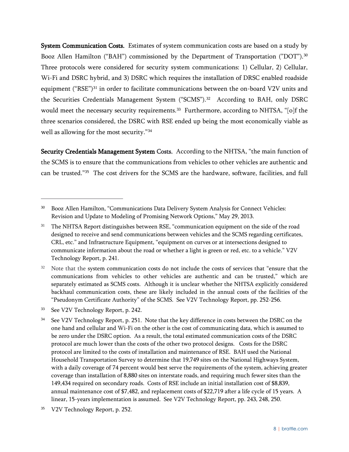System Communication Costs. Estimates of system communication costs are based on a study by Booz Allen Hamilton ("BAH") commissioned by the Department of Transportation ("DOT").<sup>[30](#page-13-0)</sup> Three protocols were considered for security system communications: 1) Cellular, 2) Cellular, Wi-Fi and DSRC hybrid, and 3) DSRC which requires the installation of DRSC enabled roadside equipment ("RSE")<sup>[31](#page-13-1)</sup> in order to facilitate communications between the on-board V2V units and the Securities Credentials Management System ("SCMS"). [32](#page-13-2) According to BAH, only DSRC would meet the necessary security requirements.<sup>[33](#page-13-3)</sup> Furthermore, according to NHTSA, "[o]f the three scenarios considered, the DSRC with RSE ended up being the most economically viable as well as allowing for the most security."[34](#page-13-4)

Security Credentials Management System Costs. According to the NHTSA, "the main function of the SCMS is to ensure that the communications from vehicles to other vehicles are authentic and can be trusted."[35](#page-13-5) The cost drivers for the SCMS are the hardware, software, facilities, and full

<span id="page-13-3"></span><sup>33</sup> See V2V Technology Report, p. 242.

 $\overline{a}$ 

<span id="page-13-5"></span>V2V Technology Report, p. 252.

<span id="page-13-0"></span><sup>30</sup> Booz Allen Hamilton, "Communications Data Delivery System Analysis for Connect Vehicles: Revision and Update to Modeling of Promising Network Options," May 29, 2013.

<span id="page-13-1"></span><sup>31</sup> The NHTSA Report distinguishes between RSE, "communication equipment on the side of the road designed to receive and send communications between vehicles and the SCMS regarding certificates, CRL, etc." and Infrastructure Equipment, "equipment on curves or at intersections designed to communicate information about the road or whether a light is green or red, etc. to a vehicle." V2V Technology Report, p. 241.

<span id="page-13-2"></span><sup>&</sup>lt;sup>32</sup> Note that the system communication costs do not include the costs of services that "ensure that the communications from vehicles to other vehicles are authentic and can be trusted," which are separately estimated as SCMS costs. Although it is unclear whether the NHTSA explicitly considered backhaul communication costs, these are likely included in the annual costs of the facilities of the "Pseudonym Certificate Authority" of the SCMS. See V2V Technology Report, pp. 252-256.

<span id="page-13-4"></span>See V2V Technology Report, p. 251. Note that the key difference in costs between the DSRC on the one hand and cellular and Wi-Fi on the other is the cost of communicating data, which is assumed to be zero under the DSRC option. As a result, the total estimated communication costs of the DSRC protocol are much lower than the costs of the other two protocol designs. Costs for the DSRC protocol are limited to the costs of installation and maintenance of RSE. BAH used the National Household Transportation Survey to determine that 19,749 sites on the National Highways System, with a daily coverage of 74 percent would best serve the requirements of the system, achieving greater coverage than installation of 8,880 sites on interstate roads, and requiring much fewer sites than the 149,434 required on secondary roads. Costs of RSE include an initial installation cost of \$8,839, annual maintenance cost of \$7,482, and replacement costs of \$22,719 after a life cycle of 15 years. A linear, 15-years implementation is assumed. See V2V Technology Report, pp. 243, 248, 250.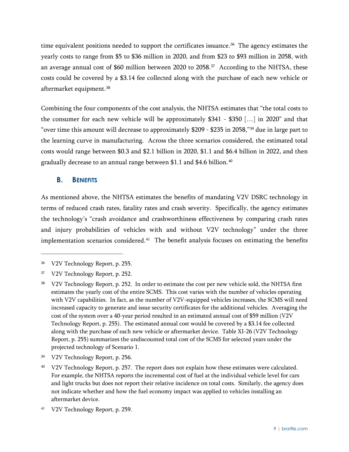time equivalent positions needed to support the certificates issuance. [36](#page-14-1) The agency estimates the yearly costs to range from \$5 to \$36 million in 2020, and from \$23 to \$93 million in 2058, with an average annual cost of \$60 million between 2020 to 2058.[37](#page-14-2) According to the NHTSA, these costs could be covered by a \$3.14 fee collected along with the purchase of each new vehicle or aftermarket equipment. [38](#page-14-3)

<span id="page-14-7"></span>Combining the four components of the cost analysis, the NHTSA estimates that "the total costs to the consumer for each new vehicle will be approximately \$341 - \$350 […] in 2020" and that "over time this amount will decrease to approximately \$209 - \$235 in 2058,"[39](#page-14-4) due in large part to the learning curve in manufacturing. Across the three scenarios considered, the estimated total costs would range between \$0.3 and \$2.1 billion in 2020, \$1.1 and \$6.4 billion in 2022, and then gradually decrease to an annual range between \$1.1 and \$4.6 billion.<sup>40</sup>

#### <span id="page-14-0"></span>**B. BENEFITS**

As mentioned above, the NHTSA estimates the benefits of mandating V2V DSRC technology in terms of reduced crash rates, fatality rates and crash severity. Specifically, the agency estimates the technology's "crash avoidance and crashworthiness effectiveness by comparing crash rates and injury probabilities of vehicles with and without V2V technology" under the three implementation scenarios considered.<sup>[41](#page-14-6)</sup> The benefit analysis focuses on estimating the benefits

 $\overline{a}$ 

<span id="page-14-6"></span><sup>41</sup> V2V Technology Report, p. 259.

<span id="page-14-1"></span><sup>36</sup> V2V Technology Report, p. 255.

<span id="page-14-2"></span><sup>37</sup> V2V Technology Report, p. 252.

<span id="page-14-3"></span><sup>38</sup> V2V Technology Report, p. 252. In order to estimate the cost per new vehicle sold, the NHTSA first estimates the yearly cost of the entire SCMS. This cost varies with the number of vehicles operating with V2V capabilities. In fact, as the number of V2V-equipped vehicles increases, the SCMS will need increased capacity to generate and issue security certificates for the additional vehicles. Averaging the cost of the system over a 40-year period resulted in an estimated annual cost of \$59 million (V2V Technology Report, p. 255). The estimated annual cost would be covered by a \$3.14 fee collected along with the purchase of each new vehicle or aftermarket device. Table XI-26 (V2V Technology Report, p. 255) summarizes the undiscounted total cost of the SCMS for selected years under the projected technology of Scenario 1.

<span id="page-14-4"></span><sup>39</sup> V2V Technology Report, p. 256.

<span id="page-14-5"></span><sup>40</sup> V2V Technology Report, p. 257. The report does not explain how these estimates were calculated. For example, the NHTSA reports the incremental cost of fuel at the individual vehicle level for cars and light trucks but does not report their relative incidence on total costs. Similarly, the agency does not indicate whether and how the fuel economy impact was applied to vehicles installing an aftermarket device.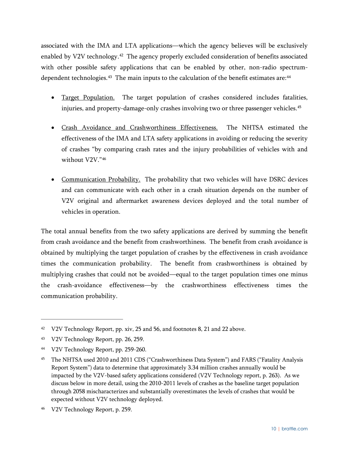associated with the IMA and LTA applications—which the agency believes will be exclusively enabled by V2V technology.<sup>[42](#page-15-0)</sup> The agency properly excluded consideration of benefits associated with other possible safety applications that can be enabled by other, non-radio spectrumdependent technologies. $^{43}\,$  $^{43}\,$  $^{43}\,$  The main inputs to the calculation of the benefit estimates are: $^{44}\,$  $^{44}\,$  $^{44}\,$ 

- Target Population. The target population of crashes considered includes fatalities, injuries, and property-damage-only crashes involving two or three passenger vehicles. [45](#page-15-3)
- Crash Avoidance and Crashworthiness Effectiveness. The NHTSA estimated the effectiveness of the IMA and LTA safety applications in avoiding or reducing the severity of crashes "by comparing crash rates and the injury probabilities of vehicles with and without V2V."[46](#page-15-4)
- Communication Probability. The probability that two vehicles will have DSRC devices and can communicate with each other in a crash situation depends on the number of V2V original and aftermarket awareness devices deployed and the total number of vehicles in operation.

The total annual benefits from the two safety applications are derived by summing the benefit from crash avoidance and the benefit from crashworthiness. The benefit from crash avoidance is obtained by multiplying the target population of crashes by the effectiveness in crash avoidance times the communication probability. The benefit from crashworthiness is obtained by multiplying crashes that could not be avoided—equal to the target population times one minus the crash-avoidance effectiveness—by the crashworthiness effectiveness times the communication probability.

<span id="page-15-0"></span><sup>&</sup>lt;sup>42</sup> V2V Technology Report, pp. xiv, 25 and 56, and footnotes [8,](#page-7-7) [21](#page-10-5) an[d 22](#page-10-6) above.

<span id="page-15-1"></span><sup>43</sup> V2V Technology Report, pp. 26, 259.

<span id="page-15-2"></span><sup>44</sup> V2V Technology Report, pp. 259-260.

<span id="page-15-3"></span><sup>&</sup>lt;sup>45</sup> The NHTSA used 2010 and 2011 CDS ("Crashworthiness Data System") and FARS ("Fatality Analysis Report System") data to determine that approximately 3.34 million crashes annually would be impacted by the V2V-based safety applications considered (V2V Technology report, p. 263). As we discuss below in more detail, using the 2010-2011 levels of crashes as the baseline target population through 2058 mischaracterizes and substantially overestimates the levels of crashes that would be expected without V2V technology deployed.

<span id="page-15-4"></span><sup>46</sup> V2V Technology Report, p. 259.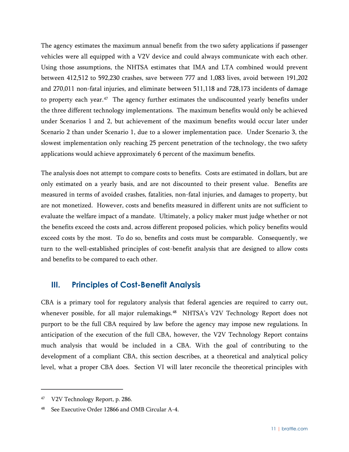The agency estimates the maximum annual benefit from the two safety applications if passenger vehicles were all equipped with a V2V device and could always communicate with each other. Using those assumptions, the NHTSA estimates that IMA and LTA combined would prevent between 412,512 to 592,230 crashes, save between 777 and 1,083 lives, avoid between 191,202 and 270,011 non-fatal injuries, and eliminate between 511,118 and 728,173 incidents of damage to property each year.<sup>[47](#page-16-1)</sup> The agency further estimates the undiscounted yearly benefits under the three different technology implementations. The maximum benefits would only be achieved under Scenarios 1 and 2, but achievement of the maximum benefits would occur later under Scenario 2 than under Scenario 1, due to a slower implementation pace. Under Scenario 3, the slowest implementation only reaching 25 percent penetration of the technology, the two safety applications would achieve approximately 6 percent of the maximum benefits.

The analysis does not attempt to compare costs to benefits. Costs are estimated in dollars, but are only estimated on a yearly basis, and are not discounted to their present value. Benefits are measured in terms of avoided crashes, fatalities, non-fatal injuries, and damages to property, but are not monetized. However, costs and benefits measured in different units are not sufficient to evaluate the welfare impact of a mandate. Ultimately, a policy maker must judge whether or not the benefits exceed the costs and, across different proposed policies, which policy benefits would exceed costs by the most. To do so, benefits and costs must be comparable. Consequently, we turn to the well-established principles of cost-benefit analysis that are designed to allow costs and benefits to be compared to each other.

## <span id="page-16-0"></span>**III. Principles of Cost-Benefit Analysis**

CBA is a primary tool for regulatory analysis that federal agencies are required to carry out, whenever possible, for all major rulemakings.<sup>48</sup> NHTSA's V2V Technology Report does not purport to be the full CBA required by law before the agency may impose new regulations. In anticipation of the execution of the full CBA, however, the V2V Technology Report contains much analysis that would be included in a CBA. With the goal of contributing to the development of a compliant CBA, this section describes, at a theoretical and analytical policy level, what a proper CBA does. Section [VI](#page-38-0) will later reconcile the theoretical principles with

<span id="page-16-1"></span><sup>47</sup> V2V Technology Report, p. 286.

<span id="page-16-2"></span><sup>48</sup> See Executive Order 12866 and OMB Circular A-4.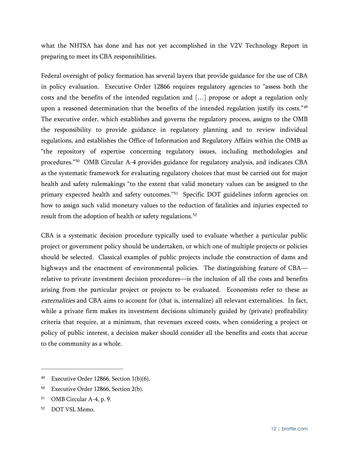what the NHTSA has done and has not yet accomplished in the V2V Technology Report in preparing to meet its CBA responsibilities.

Federal oversight of policy formation has several layers that provide guidance for the use of CBA in policy evaluation. Executive Order 12866 requires regulatory agencies to "assess both the costs and the benefits of the intended regulation and […] propose or adopt a regulation only upon a reasoned determination that the benefits of the intended regulation justify its costs."<sup>[49](#page-17-0)</sup> The executive order, which establishes and governs the regulatory process, assigns to the OMB the responsibility to provide guidance in regulatory planning and to review individual regulations, and establishes the Office of Information and Regulatory Affairs within the OMB as "the repository of expertise concerning regulatory issues, including methodologies and procedures."[50](#page-17-1) OMB Circular A-4 provides guidance for regulatory analysis, and indicates CBA as the systematic framework for evaluating regulatory choices that must be carried out for major health and safety rulemakings "to the extent that valid monetary values can be assigned to the primary expected health and safety outcomes."<sup>[51](#page-17-2)</sup> Specific DOT guidelines inform agencies on how to assign such valid monetary values to the reduction of fatalities and injuries expected to result from the adoption of health or safety regulations.<sup>[52](#page-17-3)</sup>

CBA is a systematic decision procedure typically used to evaluate whether a particular public project or government policy should be undertaken, or which one of multiple projects or policies should be selected. Classical examples of public projects include the construction of dams and highways and the enactment of environmental policies. The distinguishing feature of CBA relative to private investment decision procedures—is the inclusion of all the costs and benefits arising from the particular project or projects to be evaluated. Economists refer to these as externalities and CBA aims to account for (that is, internalize) all relevant externalities. In fact, while a private firm makes its investment decisions ultimately guided by (private) profitability criteria that require, at a minimum, that revenues exceed costs, when considering a project or policy of public interest, a decision maker should consider all the benefits and costs that accrue to the community as a whole.

<span id="page-17-0"></span><sup>&</sup>lt;sup>49</sup> Executive Order 12866, Section  $1(b)(6)$ .

<span id="page-17-1"></span><sup>50</sup> Executive Order 12866, Section 2(b).

<span id="page-17-2"></span><sup>51</sup> OMB Circular A-4, p. 9.

<span id="page-17-3"></span><sup>52</sup> DOT VSL Memo.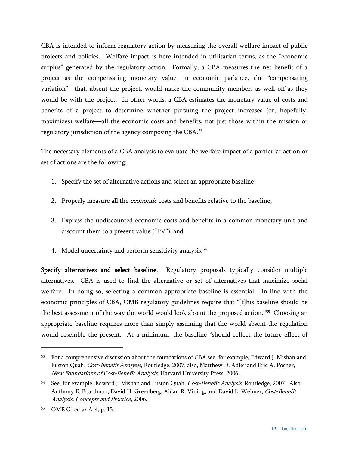CBA is intended to inform regulatory action by measuring the overall welfare impact of public projects and policies. Welfare impact is here intended in utilitarian terms, as the "economic surplus" generated by the regulatory action. Formally, a CBA measures the net benefit of a project as the compensating monetary value—in economic parlance, the "compensating variation"—that, absent the project, would make the community members as well off as they would be with the project. In other words, a CBA estimates the monetary value of costs and benefits of a project to determine whether pursuing the project increases (or, hopefully, maximizes) welfare—all the economic costs and benefits, not just those within the mission or regulatory jurisdiction of the agency composing the CBA. [53](#page-18-0)

The necessary elements of a CBA analysis to evaluate the welfare impact of a particular action or set of actions are the following:

- 1. Specify the set of alternative actions and select an appropriate baseline;
- 2. Properly measure all the *economic* costs and benefits relative to the baseline;
- 3. Express the undiscounted economic costs and benefits in a common monetary unit and discount them to a present value ("PV"); and
- 4. Model uncertainty and perform sensitivity analysis.<sup>[54](#page-18-1)</sup>

Specify alternatives and select baseline. Regulatory proposals typically consider multiple alternatives. CBA is used to find the alternative or set of alternatives that maximize social welfare. In doing so, selecting a common appropriate baseline is essential. In line with the economic principles of CBA, OMB regulatory guidelines require that "[t]his baseline should be the best assessment of the way the world would look absent the proposed action."[55](#page-18-2) Choosing an appropriate baseline requires more than simply assuming that the world absent the regulation would resemble the present. At a minimum, the baseline "should reflect the future effect of

<span id="page-18-0"></span><sup>&</sup>lt;sup>53</sup> For a comprehensive discussion about the foundations of CBA see, for example, Edward J. Mishan and Euston Quah. Cost-Benefit Analysis, Routledge, 2007; also, Matthew D. Adler and Eric A. Posner, New Foundations of Cost-Benefit Analysis, Harvard University Press, 2006.

<span id="page-18-1"></span><sup>&</sup>lt;sup>54</sup> See, for example, Edward J. Mishan and Euston Quah, *Cost-Benefit Analysis*, Routledge, 2007. Also, Anthony E. Boardman, David H. Greenberg, Aidan R. Vining, and David L. Weimer, Cost-Benefit Analysis: Concepts and Practice, 2006.

<span id="page-18-2"></span><sup>55</sup> OMB Circular A-4, p. 15.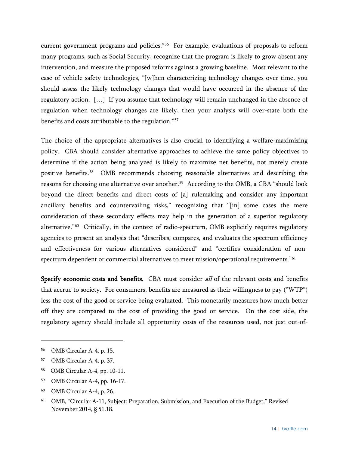current government programs and policies."[56](#page-19-0) For example, evaluations of proposals to reform many programs, such as Social Security, recognize that the program is likely to grow absent any intervention, and measure the proposed reforms against a growing baseline. Most relevant to the case of vehicle safety technologies, "[w]hen characterizing technology changes over time, you should assess the likely technology changes that would have occurred in the absence of the regulatory action. […] If you assume that technology will remain unchanged in the absence of regulation when technology changes are likely, then your analysis will over-state both the benefits and costs attributable to the regulation."[57](#page-19-1)

The choice of the appropriate alternatives is also crucial to identifying a welfare-maximizing policy. CBA should consider alternative approaches to achieve the same policy objectives to determine if the action being analyzed is likely to maximize net benefits, not merely create positive benefits.[58](#page-19-2) OMB recommends choosing reasonable alternatives and describing the reasons for choosing one alternative over another. [59](#page-19-3) According to the OMB, a CBA "should look beyond the direct benefits and direct costs of [a] rulemaking and consider any important ancillary benefits and countervailing risks," recognizing that "[in] some cases the mere consideration of these secondary effects may help in the generation of a superior regulatory alternative."<sup>60</sup> Critically, in the context of radio-spectrum, OMB explicitly requires regulatory agencies to present an analysis that "describes, compares, and evaluates the spectrum efficiency and effectiveness for various alternatives considered" and "certifies consideration of non-spectrum dependent or commercial alternatives to meet mission/operational requirements."<sup>[61](#page-19-5)</sup>

Specify economic costs and benefits. CBA must consider all of the relevant costs and benefits that accrue to society. For consumers, benefits are measured as their willingness to pay ("WTP") less the cost of the good or service being evaluated. This monetarily measures how much better off they are compared to the cost of providing the good or service. On the cost side, the regulatory agency should include all opportunity costs of the resources used, not just out-of-

- <span id="page-19-1"></span><sup>57</sup> OMB Circular A-4, p. 37.
- <span id="page-19-2"></span>58 OMB Circular A-4, pp. 10-11.
- <span id="page-19-3"></span><sup>59</sup> OMB Circular A-4, pp. 16-17.
- <span id="page-19-4"></span><sup>60</sup> OMB Circular A-4, p. 26.

<span id="page-19-0"></span><sup>56</sup> OMB Circular A-4, p. 15.

<span id="page-19-5"></span><sup>61</sup> OMB, "Circular A-11, Subject: Preparation, Submission, and Execution of the Budget," Revised November 2014, § 51.18.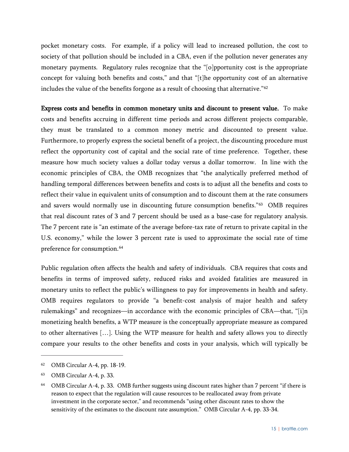pocket monetary costs. For example, if a policy will lead to increased pollution, the cost to society of that pollution should be included in a CBA, even if the pollution never generates any monetary payments. Regulatory rules recognize that the "[o]pportunity cost is the appropriate concept for valuing both benefits and costs," and that "[t]he opportunity cost of an alternative includes the value of the benefits forgone as a result of choosing that alternative."<sup>[62](#page-20-0)</sup>

Express costs and benefits in common monetary units and discount to present value. To make costs and benefits accruing in different time periods and across different projects comparable, they must be translated to a common money metric and discounted to present value. Furthermore, to properly express the societal benefit of a project, the discounting procedure must reflect the opportunity cost of capital and the social rate of time preference. Together, these measure how much society values a dollar today versus a dollar tomorrow. In line with the economic principles of CBA, the OMB recognizes that "the analytically preferred method of handling temporal differences between benefits and costs is to adjust all the benefits and costs to reflect their value in equivalent units of consumption and to discount them at the rate consumers and savers would normally use in discounting future consumption benefits."[63](#page-20-1) OMB requires that real discount rates of 3 and 7 percent should be used as a base-case for regulatory analysis. The 7 percent rate is "an estimate of the average before-tax rate of return to private capital in the U.S. economy," while the lower 3 percent rate is used to approximate the social rate of time preference for consumption.<sup>[64](#page-20-2)</sup>

Public regulation often affects the health and safety of individuals. CBA requires that costs and benefits in terms of improved safety, reduced risks and avoided fatalities are measured in monetary units to reflect the public's willingness to pay for improvements in health and safety. OMB requires regulators to provide "a benefit-cost analysis of major health and safety rulemakings" and recognizes—in accordance with the economic principles of CBA—that, "[i]n monetizing health benefits, a WTP measure is the conceptually appropriate measure as compared to other alternatives […]. Using the WTP measure for health and safety allows you to directly compare your results to the other benefits and costs in your analysis, which will typically be

<span id="page-20-0"></span><sup>62</sup> OMB Circular A-4, pp. 18-19.

<span id="page-20-1"></span><sup>63</sup> OMB Circular A-4, p. 33.

<span id="page-20-2"></span><sup>64</sup> OMB Circular A-4, p. 33. OMB further suggests using discount rates higher than 7 percent "if there is reason to expect that the regulation will cause resources to be reallocated away from private investment in the corporate sector," and recommends "using other discount rates to show the sensitivity of the estimates to the discount rate assumption." OMB Circular A-4, pp. 33-34.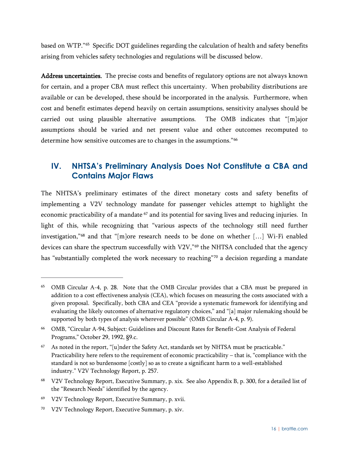based on WTP."[65](#page-21-1) Specific DOT guidelines regarding the calculation of health and safety benefits arising from vehicles safety technologies and regulations will be discussed below.

Address uncertainties. The precise costs and benefits of regulatory options are not always known for certain, and a proper CBA must reflect this uncertainty. When probability distributions are available or can be developed, these should be incorporated in the analysis. Furthermore, when cost and benefit estimates depend heavily on certain assumptions, sensitivity analyses should be carried out using plausible alternative assumptions. The OMB indicates that "[m]ajor assumptions should be varied and net present value and other outcomes recomputed to determine how sensitive outcomes are to changes in the assumptions."<sup>[66](#page-21-2)</sup>

## <span id="page-21-0"></span>**IV. NHTSA's Preliminary Analysis Does Not Constitute a CBA and Contains Major Flaws**

The NHTSA's preliminary estimates of the direct monetary costs and safety benefits of implementing a V2V technology mandate for passenger vehicles attempt to highlight the economic practicability of a mandate <sup>[67](#page-21-3)</sup> and its potential for saving lives and reducing injuries. In light of this, while recognizing that "various aspects of the technology still need further investigation,"[68](#page-21-4) and that "[m]ore research needs to be done on whether […] Wi-Fi enabled devices can share the spectrum successfully with V2V,"<sup>[69](#page-21-5)</sup> the NHTSA concluded that the agency has "substantially completed the work necessary to reaching"<sup>[70](#page-21-6)</sup> a decision regarding a mandate

<span id="page-21-1"></span><sup>65</sup> OMB Circular A-4, p. 28. Note that the OMB Circular provides that a CBA must be prepared in addition to a cost effectiveness analysis (CEA), which focuses on measuring the costs associated with a given proposal. Specifically, both CBA and CEA "provide a systematic framework for identifying and evaluating the likely outcomes of alternative regulatory choices," and "[a] major rulemaking should be supported by both types of analysis wherever possible" (OMB Circular A-4, p. 9).

<span id="page-21-2"></span><sup>66</sup> OMB, "Circular A-94, Subject: Guidelines and Discount Rates for Benefit-Cost Analysis of Federal Programs," October 29, 1992, §9.c.

<span id="page-21-3"></span><sup>67</sup> As noted in the report, "[u]nder the Safety Act, standards set by NHTSA must be practicable." Practicability here refers to the requirement of economic practicability – that is, "compliance with the standard is not so burdensome [costly] so as to create a significant harm to a well-established industry." V2V Technology Report, p. 257.

<span id="page-21-4"></span><sup>68</sup> V2V Technology Report, Executive Summary, p. xix. See also Appendix B, p. 300, for a detailed list of the "Research Needs" identified by the agency.

<span id="page-21-5"></span><sup>69</sup> V2V Technology Report, Executive Summary, p. xvii.

<span id="page-21-6"></span><sup>70</sup> V2V Technology Report, Executive Summary, p. xiv.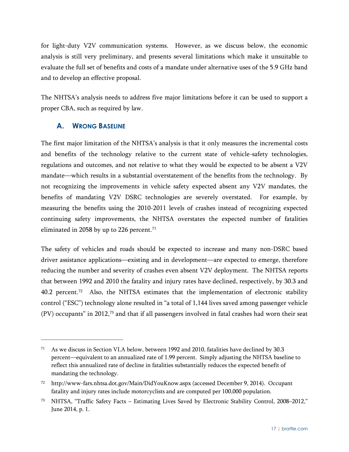for light-duty V2V communication systems. However, as we discuss below, the economic analysis is still very preliminary, and presents several limitations which make it unsuitable to evaluate the full set of benefits and costs of a mandate under alternative uses of the 5.9 GHz band and to develop an effective proposal.

The NHTSA's analysis needs to address five major limitations before it can be used to support a proper CBA, such as required by law.

#### <span id="page-22-0"></span>**A. WRONG BASELINE**

 $\overline{a}$ 

The first major limitation of the NHTSA's analysis is that it only measures the incremental costs and benefits of the technology relative to the current state of vehicle-safety technologies, regulations and outcomes, and not relative to what they would be expected to be absent a V2V mandate—which results in a substantial overstatement of the benefits from the technology. By not recognizing the improvements in vehicle safety expected absent any V2V mandates, the benefits of mandating V2V DSRC technologies are severely overstated. For example, by measuring the benefits using the 2010-2011 levels of crashes instead of recognizing expected continuing safety improvements, the NHTSA overstates the expected number of fatalities eliminated in 2058 by up to 226 percent.<sup>[71](#page-22-1)</sup>

The safety of vehicles and roads should be expected to increase and many non-DSRC based driver assistance applications—existing and in development—are expected to emerge, therefore reducing the number and severity of crashes even absent V2V deployment. The NHTSA reports that between 1992 and 2010 the fatality and injury rates have declined, respectively, by 30.3 and 40.2 percent.<sup>72</sup> Also, the NHTSA estimates that the implementation of electronic stability control ("ESC") technology alone resulted in "a total of 1,144 lives saved among passenger vehicle (PV) occupants" in 2012,[73](#page-22-3) and that if all passengers involved in fatal crashes had worn their seat

<span id="page-22-1"></span><sup>71</sup> As we discuss in Section VI.A below, between 1992 and 2010, fatalities have declined by 30.3 percent—equivalent to an annualized rate of 1.99 percent. Simply adjusting the NHTSA baseline to reflect this annualized rate of decline in fatalities substantially reduces the expected benefit of mandating the technology.

<span id="page-22-2"></span><sup>72</sup> http://www-fars.nhtsa.dot.gov/Main/DidYouKnow.aspx (accessed December 9, 2014). Occupant fatality and injury rates include motorcyclists and are computed per 100,000 population.

<span id="page-22-3"></span><sup>73</sup> NHTSA, "Traffic Safety Facts – Estimating Lives Saved by Electronic Stability Control, 2008–2012," June 2014, p. 1.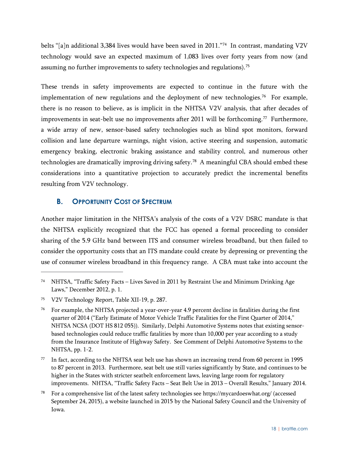belts "[a]n additional 3,384 lives would have been saved in 2011."<sup>74</sup> In contrast, mandating V2V technology would save an expected maximum of 1,083 lives over forty years from now (and assuming no further improvements to safety technologies and regulations). [75](#page-23-2)

These trends in safety improvements are expected to continue in the future with the implementation of new regulations and the deployment of new technologies.<sup>76</sup> For example, there is no reason to believe, as is implicit in the NHTSA V2V analysis, that after decades of improvements in seat-belt use no improvements after 2011 will be forthcoming.<sup>[77](#page-23-4)</sup> Furthermore, a wide array of new, sensor-based safety technologies such as blind spot monitors, forward collision and lane departure warnings, night vision, active steering and suspension, automatic emergency braking, electronic braking assistance and stability control, and numerous other technologies are dramatically improving driving safety.[78](#page-23-5) A meaningful CBA should embed these considerations into a quantitative projection to accurately predict the incremental benefits resulting from V2V technology.

#### <span id="page-23-0"></span>**B. OPPORTUNITY COST OF SPECTRUM**

Another major limitation in the NHTSA's analysis of the costs of a V2V DSRC mandate is that the NHTSA explicitly recognized that the FCC has opened a formal proceeding to consider sharing of the 5.9 GHz band between ITS and consumer wireless broadband, but then failed to consider the opportunity costs that an ITS mandate could create by depressing or preventing the use of consumer wireless broadband in this frequency range. A CBA must take into account the

<span id="page-23-1"></span><sup>74</sup> NHTSA, "Traffic Safety Facts – Lives Saved in 2011 by Restraint Use and Minimum Drinking Age Laws," December 2012, p. 1.

<span id="page-23-2"></span><sup>75</sup> V2V Technology Report, Table XII-19, p. 287.

<span id="page-23-3"></span><sup>76</sup> For example, the NHTSA projected a year-over-year 4.9 percent decline in fatalities during the first quarter of 2014 ("Early Estimate of Motor Vehicle Traffic Fatalities for the First Quarter of 2014," NHTSA NCSA (DOT HS 812 055)). Similarly, Delphi Automotive Systems notes that existing sensorbased technologies could reduce traffic fatalities by more than 10,000 per year according to a study from the Insurance Institute of Highway Safety. See Comment of Delphi Automotive Systems to the NHTSA, pp. 1-2.

<span id="page-23-4"></span><sup>77</sup> In fact, according to the NHTSA seat belt use has shown an increasing trend from 60 percent in 1995 to 87 percent in 2013. Furthermore, seat belt use still varies significantly by State, and continues to be higher in the States with stricter seatbelt enforcement laws, leaving large room for regulatory improvements. NHTSA, "Traffic Safety Facts – Seat Belt Use in 2013 – Overall Results," January 2014.

<span id="page-23-5"></span><sup>78</sup> For a comprehensive list of the latest safety technologies see<https://mycardoeswhat.org/> (accessed September 24, 2015), a website launched in 2015 by the National Safety Council and the University of Iowa.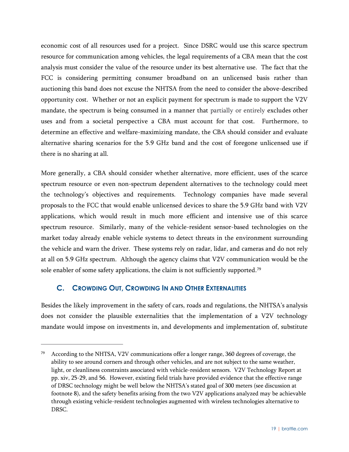economic cost of all resources used for a project. Since DSRC would use this scarce spectrum resource for communication among vehicles, the legal requirements of a CBA mean that the cost analysis must consider the value of the resource under its best alternative use. The fact that the FCC is considering permitting consumer broadband on an unlicensed basis rather than auctioning this band does not excuse the NHTSA from the need to consider the above-described opportunity cost. Whether or not an explicit payment for spectrum is made to support the V2V mandate, the spectrum is being consumed in a manner that partially or entirely excludes other uses and from a societal perspective a CBA must account for that cost. Furthermore, to determine an effective and welfare-maximizing mandate, the CBA should consider and evaluate alternative sharing scenarios for the 5.9 GHz band and the cost of foregone unlicensed use if there is no sharing at all.

More generally, a CBA should consider whether alternative, more efficient, uses of the scarce spectrum resource or even non-spectrum dependent alternatives to the technology could meet the technology's objectives and requirements. Technology companies have made several proposals to the FCC that would enable unlicensed devices to share the 5.9 GHz band with V2V applications, which would result in much more efficient and intensive use of this scarce spectrum resource. Similarly, many of the vehicle-resident sensor-based technologies on the market today already enable vehicle systems to detect threats in the environment surrounding the vehicle and warn the driver. These systems rely on radar, lidar, and cameras and do not rely at all on 5.9 GHz spectrum. Although the agency claims that V2V communication would be the sole enabler of some safety applications, the claim is not sufficiently supported.<sup>[79](#page-24-1)</sup>

#### <span id="page-24-0"></span>**C. CROWDING OUT, CROWDING IN AND OTHER EXTERNALITIES**

 $\overline{a}$ 

Besides the likely improvement in the safety of cars, roads and regulations, the NHTSA's analysis does not consider the plausible externalities that the implementation of a V2V technology mandate would impose on investments in, and developments and implementation of, substitute

<span id="page-24-1"></span><sup>79</sup> According to the NHTSA, V2V communications offer a longer range, 360 degrees of coverage, the ability to see around corners and through other vehicles, and are not subject to the same weather, light, or cleanliness constraints associated with vehicle-resident sensors. V2V Technology Report at pp. xiv, 25-29, and 56. However, existing field trials have provided evidence that the effective range of DRSC technology might be well below the NHTSA's stated goal of 300 meters (see discussion at footnot[e 8\)](#page-7-7), and the safety benefits arising from the two V2V applications analyzed may be achievable through existing vehicle-resident technologies augmented with wireless technologies alternative to DRSC.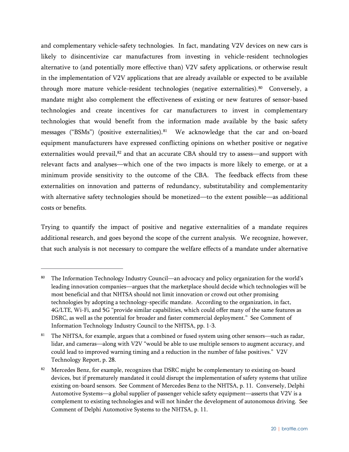and complementary vehicle-safety technologies. In fact, mandating V2V devices on new cars is likely to disincentivize car manufactures from investing in vehicle-resident technologies alternative to (and potentially more effective than) V2V safety applications, or otherwise result in the implementation of V2V applications that are already available or expected to be available through more mature vehicle-resident technologies (negative externalities).<sup>80</sup> Conversely, a mandate might also complement the effectiveness of existing or new features of sensor-based technologies and create incentives for car manufacturers to invest in complementary technologies that would benefit from the information made available by the basic safety messages ("BSMs") (positive externalities).<sup>[81](#page-25-1)</sup> We acknowledge that the car and on-board equipment manufacturers have expressed conflicting opinions on whether positive or negative externalities would prevail,<sup>[82](#page-25-2)</sup> and that an accurate CBA should try to assess—and support with relevant facts and analyses—which one of the two impacts is more likely to emerge, or at a minimum provide sensitivity to the outcome of the CBA. The feedback effects from these externalities on innovation and patterns of redundancy, substitutability and complementarity with alternative safety technologies should be monetized—to the extent possible—as additional costs or benefits.

Trying to quantify the impact of positive and negative externalities of a mandate requires additional research, and goes beyond the scope of the current analysis. We recognize, however, that such analysis is not necessary to compare the welfare effects of a mandate under alternative

<span id="page-25-0"></span><sup>80</sup> The Information Technology Industry Council—an advocacy and policy organization for the world's leading innovation companies—argues that the marketplace should decide which technologies will be most beneficial and that NHTSA should not limit innovation or crowd out other promising technologies by adopting a technology-specific mandate. According to the organization, in fact, 4G/LTE, Wi-Fi, and 5G "provide similar capabilities, which could offer many of the same features as DSRC, as well as the potential for broader and faster commercial deployment." See Comment of Information Technology Industry Council to the NHTSA, pp. 1-3.

<span id="page-25-1"></span><sup>&</sup>lt;sup>81</sup> The NHTSA, for example, argues that a combined or fused system using other sensors—such as radar, lidar, and cameras—along with V2V "would be able to use multiple sensors to augment accuracy, and could lead to improved warning timing and a reduction in the number of false positives." V2V Technology Report, p. 28.

<span id="page-25-2"></span><sup>82</sup> Mercedes Benz, for example, recognizes that DSRC might be complementary to existing on-board devices, but if prematurely mandated it could disrupt the implementation of safety systems that utilize existing on-board sensors. See Comment of Mercedes Benz to the NHTSA, p. 11. Conversely, Delphi Automotive Systems—a global supplier of passenger vehicle safety equipment—asserts that V2V is a complement to existing technologies and will not hinder the development of autonomous driving. See Comment of Delphi Automotive Systems to the NHTSA, p. 11.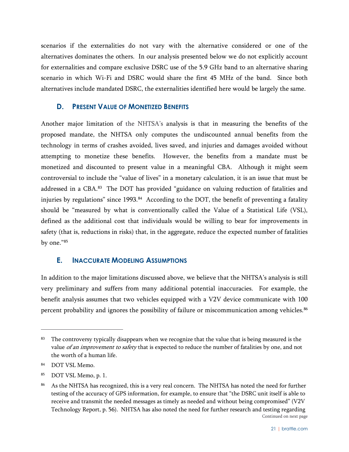scenarios if the externalities do not vary with the alternative considered or one of the alternatives dominates the others. In our analysis presented below we do not explicitly account for externalities and compare exclusive DSRC use of the 5.9 GHz band to an alternative sharing scenario in which Wi-Fi and DSRC would share the first 45 MHz of the band. Since both alternatives include mandated DSRC, the externalities identified here would be largely the same.

#### <span id="page-26-0"></span>**D. PRESENT VALUE OF MONETIZED BENEFITS**

Another major limitation of the NHTSA's analysis is that in measuring the benefits of the proposed mandate, the NHTSA only computes the undiscounted annual benefits from the technology in terms of crashes avoided, lives saved, and injuries and damages avoided without attempting to monetize these benefits. However, the benefits from a mandate must be monetized and discounted to present value in a meaningful CBA. Although it might seem controversial to include the "value of lives" in a monetary calculation, it is an issue that must be addressed in a CBA.<sup>83</sup> The DOT has provided "guidance on valuing reduction of fatalities and injuries by regulations" since 1993.<sup>[84](#page-26-3)</sup> According to the DOT, the benefit of preventing a fatality should be "measured by what is conventionally called the Value of a Statistical Life (VSL), defined as the additional cost that individuals would be willing to bear for improvements in safety (that is, reductions in risks) that, in the aggregate, reduce the expected number of fatalities by one."[85](#page-26-4)

#### <span id="page-26-1"></span>**E. INACCURATE MODELING ASSUMPTIONS**

In addition to the major limitations discussed above, we believe that the NHTSA's analysis is still very preliminary and suffers from many additional potential inaccuracies. For example, the benefit analysis assumes that two vehicles equipped with a V2V device communicate with 100 percent probability and ignores the possibility of failure or miscommunication among vehicles.[86](#page-26-5)

<span id="page-26-2"></span><sup>&</sup>lt;sup>83</sup> The controversy typically disappears when we recognize that the value that is being measured is the value of an improvement to safety that is expected to reduce the number of fatalities by one, and not the worth of a human life.

<span id="page-26-3"></span><sup>84</sup> DOT VSL Memo.

<span id="page-26-4"></span><sup>85</sup> DOT VSL Memo, p. 1.

<span id="page-26-5"></span><sup>86</sup> As the NHTSA has recognized, this is a very real concern. The NHTSA has noted the need for further testing of the accuracy of GPS information, for example, to ensure that "the DSRC unit itself is able to receive and transmit the needed messages as timely as needed and without being compromised" (V2V Technology Report, p. 56). NHTSA has also noted the need for further research and testing regarding Continued on next page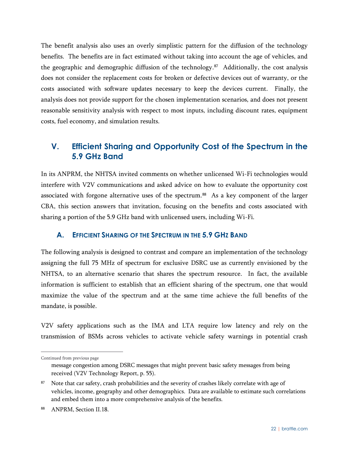The benefit analysis also uses an overly simplistic pattern for the diffusion of the technology benefits. The benefits are in fact estimated without taking into account the age of vehicles, and the geographic and demographic diffusion of the technology.<sup>87</sup> Additionally, the cost analysis does not consider the replacement costs for broken or defective devices out of warranty, or the costs associated with software updates necessary to keep the devices current. Finally, the analysis does not provide support for the chosen implementation scenarios, and does not present reasonable sensitivity analysis with respect to most inputs, including discount rates, equipment costs, fuel economy, and simulation results.

## <span id="page-27-0"></span>**V. Efficient Sharing and Opportunity Cost of the Spectrum in the 5.9 GHz Band**

In its ANPRM, the NHTSA invited comments on whether unlicensed Wi-Fi technologies would interfere with V2V communications and asked advice on how to evaluate the opportunity cost associated with forgone alternative uses of the spectrum.<sup>[88](#page-27-3)</sup> As a key component of the larger CBA, this section answers that invitation, focusing on the benefits and costs associated with sharing a portion of the 5.9 GHz band with unlicensed users, including Wi-Fi.

#### <span id="page-27-1"></span>**A. EFFICIENT SHARING OF THE SPECTRUM IN THE 5.9 GHZ BAND**

The following analysis is designed to contrast and compare an implementation of the technology assigning the full 75 MHz of spectrum for exclusive DSRC use as currently envisioned by the NHTSA, to an alternative scenario that shares the spectrum resource. In fact, the available information is sufficient to establish that an efficient sharing of the spectrum, one that would maximize the value of the spectrum and at the same time achieve the full benefits of the mandate, is possible.

V2V safety applications such as the IMA and LTA require low latency and rely on the transmission of BSMs across vehicles to activate vehicle safety warnings in potential crash

Continued from previous page

message congestion among DSRC messages that might prevent basic safety messages from being received (V2V Technology Report, p. 55).

<span id="page-27-2"></span><sup>&</sup>lt;sup>87</sup> Note that car safety, crash probabilities and the severity of crashes likely correlate with age of vehicles, income, geography and other demographics. Data are available to estimate such correlations and embed them into a more comprehensive analysis of the benefits.

<span id="page-27-3"></span><sup>88</sup> ANPRM, Section II.18.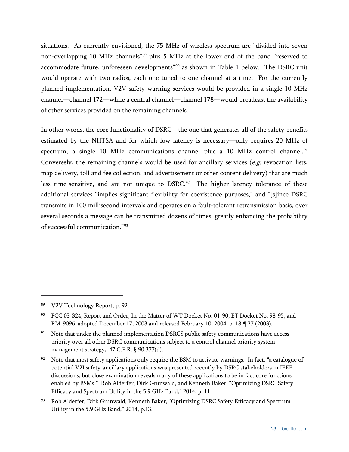situations. As currently envisioned, the 75 MHz of wireless spectrum are "divided into seven non-overlapping 10 MHz channels"[89](#page-28-0) plus 5 MHz at the lower end of the band "reserved to accommodate future, unforeseen developments"[90](#page-28-1) as shown in [Table 1](#page-29-0) below. The DSRC unit would operate with two radios, each one tuned to one channel at a time. For the currently planned implementation, V2V safety warning services would be provided in a single 10 MHz channel—channel 172—while a central channel—channel 178—would broadcast the availability of other services provided on the remaining channels.

In other words, the core functionality of DSRC—the one that generates all of the safety benefits estimated by the NHTSA and for which low latency is necessary—only requires 20 MHz of spectrum, a single 10 MHz communications channel plus a 10 MHz control channel.<sup>[91](#page-28-2)</sup> Conversely, the remaining channels would be used for ancillary services ( $e.g.$  revocation lists, map delivery, toll and fee collection, and advertisement or other content delivery) that are much less time-sensitive, and are not unique to DSRC.<sup>92</sup> The higher latency tolerance of these additional services "implies significant flexibility for coexistence purposes," and "[s]ince DSRC transmits in 100 millisecond intervals and operates on a fault-tolerant retransmission basis, over several seconds a message can be transmitted dozens of times, greatly enhancing the probability of successful communication."[93](#page-28-4)

 $\overline{a}$ 

<span id="page-28-3"></span>Note that most safety applications only require the BSM to activate warnings. In fact, "a catalogue of potential V2I safety-ancillary applications was presented recently by DSRC stakeholders in IEEE discussions, but close examination reveals many of these applications to be in fact core functions enabled by BSMs." Rob Alderfer, Dirk Grunwald, and Kenneth Baker, "Optimizing DSRC Safety Efficacy and Spectrum Utility in the 5.9 GHz Band," 2014, p. 11.

<span id="page-28-0"></span><sup>89</sup> V2V Technology Report, p. 92.

<span id="page-28-1"></span><sup>90</sup> FCC 03-324, Report and Order, In the Matter of WT Docket No. 01-90, ET Docket No. 98-95, and RM-9096, adopted December 17, 2003 and released February 10, 2004, p. 18 ¶ 27 (2003).

<span id="page-28-2"></span> $91$  Note that under the planned implementation DSRCS public safety communications have access priority over all other DSRC communications subject to a control channel priority system management strategy, 47 C.F.R. § 90.377(d).

<span id="page-28-4"></span><sup>93</sup> Rob Alderfer, Dirk Grunwald, Kenneth Baker, "Optimizing DSRC Safety Efficacy and Spectrum Utility in the 5.9 GHz Band," 2014, p.13.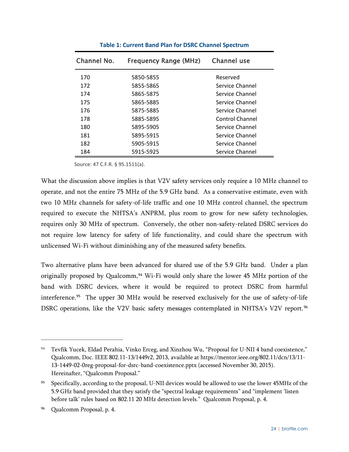<span id="page-29-0"></span>

| Channel No. | <b>Frequency Range (MHz)</b> | Channel use     |
|-------------|------------------------------|-----------------|
| 170         | 5850-5855                    | Reserved        |
| 172         | 5855-5865                    | Service Channel |
| 174         | 5865-5875                    | Service Channel |
| 175         | 5865-5885                    | Service Channel |
| 176         | 5875-5885                    | Service Channel |
| 178         | 5885-5895                    | Control Channel |
| 180         | 5895-5905                    | Service Channel |
| 181         | 5895-5915                    | Service Channel |
| 182         | 5905-5915                    | Service Channel |
| 184         | 5915-5925                    | Service Channel |

**Table 1: Current Band Plan for DSRC Channel Spectrum**

Source: 47 C.F.R. § 95.1511(a).

What the discussion above implies is that V2V safety services only require a 10 MHz channel to operate, and not the entire 75 MHz of the 5.9 GHz band. As a conservative estimate, even with two 10 MHz channels for safety-of-life traffic and one 10 MHz control channel, the spectrum required to execute the NHTSA's ANPRM, plus room to grow for new safety technologies, requires only 30 MHz of spectrum. Conversely, the other non-safety-related DSRC services do not require low latency for safety of life functionality, and could share the spectrum with unlicensed Wi-Fi without diminishing any of the measured safety benefits.

Two alternative plans have been advanced for shared use of the 5.9 GHz band. Under a plan originally proposed by Qualcomm,<sup>[94](#page-29-1)</sup> Wi-Fi would only share the lower 45 MHz portion of the band with DSRC devices, where it would be required to protect DSRC from harmful interference.[95](#page-29-2) The upper 30 MHz would be reserved exclusively for the use of safety-of-life DSRC operations, like the V2V basic safety messages contemplated in NHTSA's V2V report.<sup>[96](#page-29-3)</sup>

<span id="page-29-1"></span><sup>94</sup> Tevfik Yucek, Eldad Perahia, Vinko Erceg, and Xinzhou Wu, "Proposal for U-NII 4 band coexistence," Qualcomm, Doc. IEEE 802.11-13/1449r2, 2013, available a[t https://mentor.ieee.org/802.11/dcn/13/11-](https://mentor.ieee.org/802.11/dcn/13/11-13-1449-02-0reg-proposal-for-dsrc-band-coexistence.pptx) [13-1449-02-0reg-proposal-for-dsrc-band-coexistence.pptx](https://mentor.ieee.org/802.11/dcn/13/11-13-1449-02-0reg-proposal-for-dsrc-band-coexistence.pptx) (accessed November 30, 2015). Hereinafter, "Qualcomm Proposal."

<span id="page-29-2"></span><sup>95</sup> Specifically, according to the proposal, U-NII devices would be allowed to use the lower 45MHz of the 5.9 GHz band provided that they satisfy the "spectral leakage requirements" and "implement 'listen before talk' rules based on 802.11 20 MHz detection levels." Qualcomm Proposal, p. 4.

<span id="page-29-3"></span><sup>96</sup> Qualcomm Proposal, p. 4.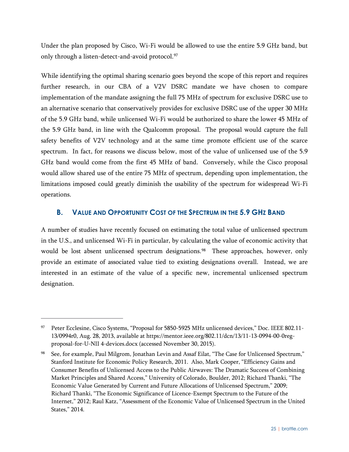Under the plan proposed by Cisco, Wi-Fi would be allowed to use the entire 5.9 GHz band, but only through a listen-detect-and-avoid protocol.<sup>[97](#page-30-1)</sup>

While identifying the optimal sharing scenario goes beyond the scope of this report and requires further research, in our CBA of a V2V DSRC mandate we have chosen to compare implementation of the mandate assigning the full 75 MHz of spectrum for exclusive DSRC use to an alternative scenario that conservatively provides for exclusive DSRC use of the upper 30 MHz of the 5.9 GHz band, while unlicensed Wi-Fi would be authorized to share the lower 45 MHz of the 5.9 GHz band, in line with the Qualcomm proposal. The proposal would capture the full safety benefits of V2V technology and at the same time promote efficient use of the scarce spectrum. In fact, for reasons we discuss below, most of the value of unlicensed use of the 5.9 GHz band would come from the first 45 MHz of band. Conversely, while the Cisco proposal would allow shared use of the entire 75 MHz of spectrum, depending upon implementation, the limitations imposed could greatly diminish the usability of the spectrum for widespread Wi-Fi operations.

#### <span id="page-30-0"></span>**B. VALUE AND OPPORTUNITY COST OF THE SPECTRUM IN THE 5.9 GHZ BAND**

A number of studies have recently focused on estimating the total value of unlicensed spectrum in the U.S., and unlicensed Wi-Fi in particular, by calculating the value of economic activity that would be lost absent unlicensed spectrum designations.<sup>98</sup> These approaches, however, only provide an estimate of associated value tied to existing designations overall. Instead, we are interested in an estimate of the value of a specific new, incremental unlicensed spectrum designation.

<span id="page-30-1"></span><sup>97</sup> Peter Ecclesine, Cisco Systems, "Proposal for 5850-5925 MHz unlicensed devices," Doc. IEEE 802.11-13/0994r0, Aug. 28, 2013, available at https://mentor.ieee.org/802.11/dcn/13/11-13-0994-00-0regproposal-for-U-NII 4-devices.docx (accessed November 30, 2015).

<span id="page-30-2"></span><sup>98</sup> See, for example, Paul Milgrom, Jonathan Levin and Assaf Eilat, "The Case for Unlicensed Spectrum," Stanford Institute for Economic Policy Research, 2011. Also, Mark Cooper, "Efficiency Gains and Consumer Benefits of Unlicensed Access to the Public Airwaves: The Dramatic Success of Combining Market Principles and Shared Access," University of Colorado, Boulder, 2012; Richard Thanki, "The Economic Value Generated by Current and Future Allocations of Unlicensed Spectrum," 2009; Richard Thanki, "The Economic Significance of Licence-Exempt Spectrum to the Future of the Internet," 2012; Raul Katz, "Assessment of the Economic Value of Unlicensed Spectrum in the United States," 2014.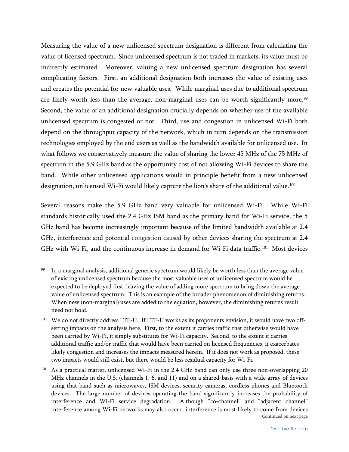Measuring the value of a new unlicensed spectrum designation is different from calculating the value of licensed spectrum. Since unlicensed spectrum is not traded in markets, its value must be indirectly estimated. Moreover, valuing a new unlicensed spectrum designation has several complicating factors. First, an additional designation both increases the value of existing uses and creates the potential for new valuable uses. While marginal uses due to additional spectrum are likely worth less than the average, non-marginal uses can be worth significantly more.<sup>[99](#page-31-0)</sup> Second, the value of an additional designation crucially depends on whether use of the available unlicensed spectrum is congested or not. Third, use and congestion in unlicensed Wi-Fi both depend on the throughput capacity of the network, which in turn depends on the transmission technologies employed by the end users as well as the bandwidth available for unlicensed use. In what follows we conservatively measure the value of sharing the lower 45 MHz of the 75 MHz of spectrum in the 5.9 GHz band as the opportunity cost of not allowing Wi-Fi devices to share the band. While other unlicensed applications would in principle benefit from a new unlicensed designation, unlicensed Wi-Fi would likely capture the lion's share of the additional value.<sup>[100](#page-31-1)</sup>

Several reasons make the 5.9 GHz band very valuable for unlicensed Wi-Fi. While Wi-Fi standards historically used the 2.4 GHz ISM band as the primary band for Wi-Fi service, the 5 GHz band has become increasingly important because of the limited bandwidth available at 2.4 GHz, interference and potential congestion caused by other devices sharing the spectrum at 2.4 GHz with Wi-Fi, and the continuous increase in demand for Wi-Fi data traffic.<sup>[101](#page-31-2)</sup> Most devices

<span id="page-31-0"></span>In a marginal analysis, additional generic spectrum would likely be worth less than the average value of existing unlicensed spectrum because the most valuable uses of unlicensed spectrum would be expected to be deployed first, leaving the value of adding more spectrum to bring down the average value of unlicensed spectrum. This is an example of the broader phenomenon of diminishing returns. When new (non-marginal) uses are added to the equation, however, the diminishing returns result need not hold.

<span id="page-31-1"></span><sup>100</sup> We do not directly address LTE-U. If LTE-U works as its proponents envision, it would have two offsetting impacts on the analysis here. First, to the extent it carries traffic that otherwise would have been carried by Wi-Fi, it simply substitutes for Wi-Fi capacity. Second, to the extent it carries additional traffic and/or traffic that would have been carried on licensed frequencies, it exacerbates likely congestion and increases the impacts measured herein. If it does not work as proposed, these two impacts would still exist, but there would be less residual capacity for Wi-Fi.

<span id="page-31-2"></span><sup>101</sup> As a practical matter, unlicensed Wi-Fi in the 2.4 GHz band can only use three non-overlapping 20 MHz channels in the U.S. (channels 1, 6, and 11) and on a shared-basis with a wide array of devices using that band such as microwaves, ISM devices, security cameras, cordless phones and Bluetooth devices. The large number of devices operating the band significantly increases the probability of interference and Wi-Fi service degradation. Although "co-channel" and "adjacent channel" interference among Wi-Fi networks may also occur, interference is most likely to come from devices Continued on next page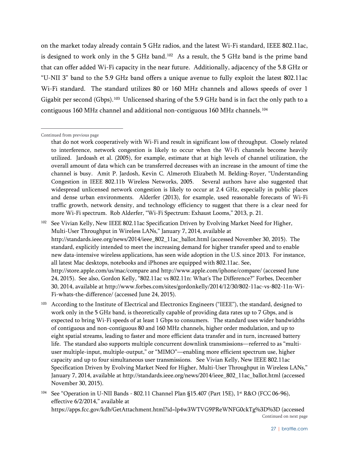on the market today already contain 5 GHz radios, and the latest Wi-Fi standard, IEEE 802.11ac, is designed to work only in the 5 GHz band.<sup>102</sup> As a result, the 5 GHz band is the prime band that can offer added Wi-Fi capacity in the near future. Additionally, adjacency of the 5.8 GHz or "U-NII 3" band to the 5.9 GHz band offers a unique avenue to fully exploit the latest 802.11ac Wi-Fi standard. The standard utilizes 80 or 160 MHz channels and allows speeds of over 1 Gigabit per second (Gbps).<sup>[103](#page-32-1)</sup> Unlicensed sharing of the 5.9 GHz band is in fact the only path to a contiguous 160 MHz channel and additional non-contiguous 160 MHz channels.[104](#page-32-2)

<span id="page-32-1"></span>103 According to the Institute of Electrical and Electronics Engineers ("IEEE"), the standard, designed to work only in the 5 GHz band, is theoretically capable of providing data rates up to 7 Gbps, and is expected to bring Wi-Fi speeds of at least 1 Gbps to consumers. The standard uses wider bandwidths of contiguous and non-contiguous 80 and 160 MHz channels, higher order modulation, and up to eight spatial streams, leading to faster and more efficient data transfer and in turn, increased battery life. The standard also supports multiple concurrent downlink transmissions—referred to as "multiuser multiple-input, multiple-output," or "MIMO"—enabling more efficient spectrum use, higher capacity and up to four simultaneous user transmissions. See Vivian Kelly, New IEEE 802.11ac Specification Driven by Evolving Market Need for Higher, Multi-User Throughput in Wireless LANs," January 7, 2014, available at [http://standards.ieee.org/news/2014/ieee\\_802\\_11ac\\_ballot.html](http://standards.ieee.org/news/2014/ieee_802_11ac_ballot.html) (accessed November 30, 2015).

<span id="page-32-2"></span><sup>104</sup> See "Operation in U-NII Bands - 802.11 Channel Plan  $\S$ 15.407 (Part 15E), 1<sup>st</sup> R&O (FCC 06-96), effective 6/2/2014," available at https://apps.fcc.gov/kdb/GetAttachment.html?id=lp4w3WTVG9PReWNFG0ckTg%3D%3D (accessed Continued on next page

Continued from previous page

that do not work cooperatively with Wi-Fi and result in significant loss of throughput. Closely related to interference, network congestion is likely to occur when the Wi-Fi channels become heavily utilized. Jardoash et al. (2005), for example, estimate that at high levels of channel utilization, the overall amount of data which can be transferred decreases with an increase in the amount of time the channel is busy. Amit P. Jardosh, Kevin C. Almeroth Elizabeth M. Belding-Royer, "Understanding Congestion in IEEE 802.11b Wireless Networks, 2005. Several authors have also suggested that widespread unlicensed network congestion is likely to occur at 2.4 GHz, especially in public places and dense urban environments. Alderfer (2013), for example, used reasonable forecasts of Wi-Fi traffic growth, network density, and technology efficiency to suggest that there is a clear need for more Wi-Fi spectrum. Rob Alderfer, "Wi-Fi Spectrum: Exhaust Looms," 2013, p. 21.

<span id="page-32-0"></span><sup>102</sup> See Vivian Kelly, New IEEE 802.11ac Specification Driven by Evolving Market Need for Higher, Multi-User Throughput in Wireless LANs," January 7, 2014, available at [http://standards.ieee.org/news/2014/ieee\\_802\\_11ac\\_ballot.html](http://standards.ieee.org/news/2014/ieee_802_11ac_ballot.html) (accessed November 30, 2015). The standard, explicitly intended to meet the increasing demand for higher transfer speed and to enable new data-intensive wireless applications, has seen wide adoption in the U.S. since 2013. For instance, all latest Mac desktops, notebooks and iPhones are equipped with 802.11ac. See, http://store.apple.com/us/mac/compare and http://www.apple.com/iphone/compare/ (accessed June 24, 2015). See also, Gordon Kelly, "802.11ac vs 802.11n: What's The Difference?" Forbes, December 30, 2014, available at http://www.forbes.com/sites/gordonkelly/2014/12/30/802-11ac-vs-802-11n-Wi-Fi-whats-the-difference/ (accessed June 24, 2015).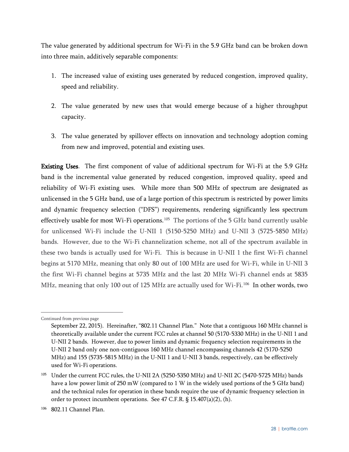The value generated by additional spectrum for Wi-Fi in the 5.9 GHz band can be broken down into three main, additively separable components:

- 1. The increased value of existing uses generated by reduced congestion, improved quality, speed and reliability.
- 2. The value generated by new uses that would emerge because of a higher throughput capacity.
- 3. The value generated by spillover effects on innovation and technology adoption coming from new and improved, potential and existing uses.

Existing Uses. The first component of value of additional spectrum for Wi-Fi at the 5.9 GHz band is the incremental value generated by reduced congestion, improved quality, speed and reliability of Wi-Fi existing uses. While more than 500 MHz of spectrum are designated as unlicensed in the 5 GHz band, use of a large portion of this spectrum is restricted by power limits and dynamic frequency selection ("DFS") requirements, rendering significantly less spectrum effectively usable for most Wi-Fi operations.<sup>[105](#page-33-0)</sup> The portions of the 5 GHz band currently usable for unlicensed Wi-Fi include the U-NII 1 (5150-5250 MHz) and U-NII 3 (5725-5850 MHz) bands. However, due to the Wi-Fi channelization scheme, not all of the spectrum available in these two bands is actually used for Wi-Fi. This is because in U-NII 1 the first Wi-Fi channel begins at 5170 MHz, meaning that only 80 out of 100 MHz are used for Wi-Fi, while in U-NII 3 the first Wi-Fi channel begins at 5735 MHz and the last 20 MHz Wi-Fi channel ends at 5835 MHz, meaning that only 100 out of 125 MHz are actually used for Wi-Fi.<sup>[106](#page-33-1)</sup> In other words, two

Continued from previous page

September 22, 2015). Hereinafter, "802.11 Channel Plan." Note that a contiguous 160 MHz channel is theoretically available under the current FCC rules at channel 50 (5170-5330 MHz) in the U-NII 1 and U-NII 2 bands. However, due to power limits and dynamic frequency selection requirements in the U-NII 2 band only one non-contiguous 160 MHz channel encompassing channels 42 (5170-5250 MHz) and 155 (5735-5815 MHz) in the U-NII 1 and U-NII 3 bands, respectively, can be effectively used for Wi-Fi operations.

<span id="page-33-0"></span><sup>&</sup>lt;sup>105</sup> Under the current FCC rules, the U-NII 2A (5250-5350 MHz) and U-NII 2C (5470-5725 MHz) bands have a low power limit of 250 mW (compared to 1 W in the widely used portions of the 5 GHz band) and the technical rules for operation in these bands require the use of dynamic frequency selection in order to protect incumbent operations. See 47 C.F.R. § 15.407(a)(2), (h).

<span id="page-33-1"></span><sup>106</sup> 802.11 Channel Plan.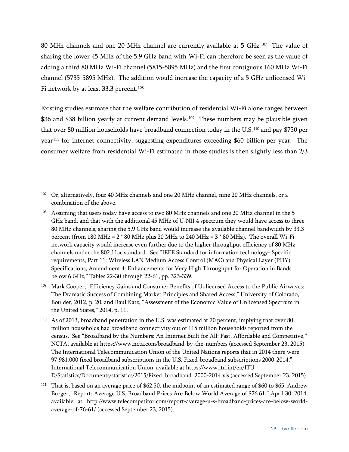80 MHz channels and one 20 MHz channel are currently available at 5 GHz.<sup>107</sup> The value of sharing the lower 45 MHz of the 5.9 GHz band with Wi-Fi can therefore be seen as the value of adding a third 80 MHz Wi-Fi channel (5815-5895 MHz) and the first contiguous 160 MHz Wi-Fi channel (5735-5895 MHz). The addition would increase the capacity of a 5 GHz unlicensed Wi-Fi network by at least 33.3 percent. [108](#page-34-1)

Existing studies estimate that the welfare contribution of residential Wi-Fi alone ranges between \$36 and \$38 billion yearly at current demand levels. [109](#page-34-2) These numbers may be plausible given that over 80 million households have broadband connection today in the U.S.[110](#page-34-3) and pay \$750 per year[111](#page-34-4) for internet connectivity, suggesting expenditures exceeding \$60 billion per year. The consumer welfare from residential Wi-Fi estimated in those studies is then slightly less than 2/3

<span id="page-34-0"></span><sup>&</sup>lt;sup>107</sup> Or, alternatively, four 40 MHz channels and one 20 MHz channel, nine 20 MHz channels, or a combination of the above.

<span id="page-34-1"></span><sup>108</sup> Assuming that users today have access to two 80 MHz channels and one 20 MHz channel in the 5 GHz band, and that with the additional 45 MHz of U-NII 4 spectrum they would have access to three 80 MHz channels, sharing the 5.9 GHz band would increase the available channel bandwidth by 33.3 percent (from 180 MHz =  $2*80$  MHz plus 20 MHz to 240 MHz =  $3*80$  MHz). The overall Wi-Fi network capacity would increase even further due to the higher throughput efficiency of 80 MHz channels under the 802.11ac standard. See "IEEE Standard for information technology- Specific requirements, Part 11: Wireless LAN Medium Access Control (MAC) and Physical Layer (PHY) Specifications, Amendment 4: Enhancements for Very High Throughput for Operation in Bands below 6 GHz," Tables 22-30 through 22-61, pp. 323-339.

<span id="page-34-2"></span><sup>109</sup> Mark Cooper, "Efficiency Gains and Consumer Benefits of Unlicensed Access to the Public Airwaves: The Dramatic Success of Combining Market Principles and Shared Access," University of Colorado, Boulder, 2012, p. 20; and Raul Katz, "Assessment of the Economic Value of Unlicensed Spectrum in the United States," 2014, p. 11.

<span id="page-34-3"></span><sup>110</sup> As of 2013, broadband penetration in the U.S. was estimated at 70 percent, implying that over 80 million households had broadband connectivity out of 115 million households reported from the census. See "Broadband by the Numbers: An Internet Built for All: Fast, Affordable and Competitive," NCTA, available at<https://www.ncta.com/broadband-by-the-numbers> (accessed September 23, 2015). The International Telecommunication Union of the United Nations reports that in 2014 there were 97,981,000 fixed broadband subscriptions in the U.S. Fixed-broadband subscriptions 2000-2014," International Telecommunication Union, available at https://www.itu.int/en/ITU-D/Statistics/Documents/statistics/2015/Fixed\_broadband\_2000-2014.xls (accessed September 23, 2015).

<span id="page-34-4"></span><sup>&</sup>lt;sup>111</sup> That is, based on an average price of \$62.50, the midpoint of an estimated range of \$60 to \$65. Andrew Burger, "Report: Average U.S. Broadband Prices Are Below World Average of \$76.61," April 30, 2014, available at [http://www.telecompetitor.com/report-average-u-s-broadband-prices-are-below-world](http://www.telecompetitor.com/report-average-u-s-broadband-prices-are-below-world-average-of-76-61/)[average-of-76-61/](http://www.telecompetitor.com/report-average-u-s-broadband-prices-are-below-world-average-of-76-61/) (accessed September 23, 2015).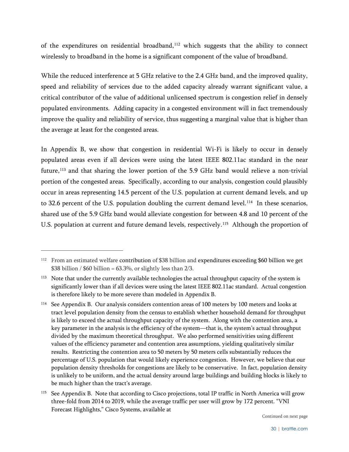of the expenditures on residential broadband, [112](#page-35-0) which suggests that the ability to connect wirelessly to broadband in the home is a significant component of the value of broadband.

While the reduced interference at 5 GHz relative to the 2.4 GHz band, and the improved quality, speed and reliability of services due to the added capacity already warrant significant value, a critical contributor of the value of additional unlicensed spectrum is congestion relief in densely populated environments. Adding capacity in a congested environment will in fact tremendously improve the quality and reliability of service, thus suggesting a marginal value that is higher than the average at least for the congested areas.

In Appendix B, we show that congestion in residential Wi-Fi is likely to occur in densely populated areas even if all devices were using the latest IEEE 802.11ac standard in the near future,<sup>[113](#page-35-1)</sup> and that sharing the lower portion of the 5.9 GHz band would relieve a non-trivial portion of the congested areas. Specifically, according to our analysis, congestion could plausibly occur in areas representing 14.5 percent of the U.S. population at current demand levels, and up to 32.6 percent of the U.S. population doubling the current demand level.<sup>[114](#page-35-2)</sup> In these scenarios, shared use of the 5.9 GHz band would alleviate congestion for between 4.8 and 10 percent of the U.S. population at current and future demand levels, respectively.<sup>115</sup> Although the proportion of

<span id="page-35-4"></span> $\overline{a}$ 

Continued on next page

<span id="page-35-0"></span><sup>&</sup>lt;sup>112</sup> From an estimated welfare contribution of \$38 billion and expenditures exceeding \$60 billion we get \$38 billion / \$60 billion =  $63.3\%$ , or slightly less than  $2/3$ .

<span id="page-35-1"></span><sup>&</sup>lt;sup>113</sup> Note that under the currently available technologies the actual throughput capacity of the system is significantly lower than if all devices were using the latest IEEE 802.11ac standard. Actual congestion is therefore likely to be more severe than modeled in Appendix B.

<span id="page-35-2"></span><sup>&</sup>lt;sup>114</sup> See Appendix B. Our analysis considers contention areas of 100 meters by 100 meters and looks at tract level population density from the census to establish whether household demand for throughput is likely to exceed the actual throughput capacity of the system. Along with the contention area, a key parameter in the analysis is the efficiency of the system—that is, the system's actual throughput divided by the maximum theoretical throughput. We also performed sensitivities using different values of the efficiency parameter and contention area assumptions, yielding qualitatively similar results. Restricting the contention area to 50 meters by 50 meters cells substantially reduces the percentage of U.S. population that would likely experience congestion. However, we believe that our population density thresholds for congestions are likely to be conservative. In fact, population density is unlikely to be uniform, and the actual density around large buildings and building blocks is likely to be much higher than the tract's average.

<span id="page-35-3"></span><sup>&</sup>lt;sup>115</sup> See Appendix B. Note that according to Cisco projections, total IP traffic in North America will grow three-fold from 2014 to 2019, while the average traffic per user will grow by 172 percent. "VNI Forecast Highlights," Cisco Systems, available at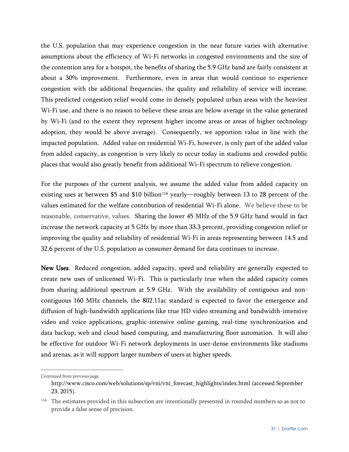the U.S. population that may experience congestion in the near future varies with alternative assumptions about the efficiency of Wi-Fi networks in congested environments and the size of the contention area for a hotspot, the benefits of sharing the 5.9 GHz band are fairly consistent at about a 30% improvement. Furthermore, even in areas that would continue to experience congestion with the additional frequencies, the quality and reliability of service will increase. This predicted congestion relief would come in densely populated urban areas with the heaviest Wi-Fi use, and there is no reason to believe these areas are below average in the value generated by Wi-Fi (and to the extent they represent higher income areas or areas of higher technology adoption, they would be above average). Consequently, we apportion value in line with the impacted population. Added value on residential Wi-Fi, however, is only part of the added value from added capacity, as congestion is very likely to occur today in stadiums and crowded public places that would also greatly benefit from additional Wi-Fi spectrum to relieve congestion.

For the purposes of the current analysis, we assume the added value from added capacity on existing uses at between \$5 and \$10 billion<sup>[116](#page-36-0)</sup> yearly—roughly between 13 to 28 percent of the values estimated for the welfare contribution of residential Wi-Fi alone. We believe these to be reasonable, conservative, values. Sharing the lower 45 MHz of the 5.9 GHz band would in fact increase the network capacity at 5 GHz by more than 33.3 percent, providing congestion relief or improving the quality and reliability of residential Wi-Fi in areas representing between 14.5 and 32.6 percent of the U.S. population as consumer demand for data continues to increase.

New Uses. Reduced congestion, added capacity, speed and reliability are generally expected to create new uses of unlicensed Wi-Fi. This is particularly true when the added capacity comes from sharing additional spectrum at 5.9 GHz. With the availability of contiguous and noncontiguous 160 MHz channels, the 802.11ac standard is expected to favor the emergence and diffusion of high-bandwidth applications like true HD video streaming and bandwidth-intensive video and voice applications, graphic-intensive online gaming, real-time synchronization and data backup, web and cloud based computing, and manufacturing floor automation. It will also be effective for outdoor Wi-Fi network deployments in user-dense environments like stadiums and arenas, as it will support larger numbers of users at higher speeds.

Continued from previous page

[http://www.cisco.com/web/solutions/sp/vni/vni\\_forecast\\_highlights/index.html](http://www.cisco.com/web/solutions/sp/vni/vni_forecast_highlights/index.html) (accessed September 23, 2015).

<span id="page-36-0"></span><sup>116</sup> The estimates provided in this subsection are intentionally presented in rounded numbers so as not to provide a false sense of precision.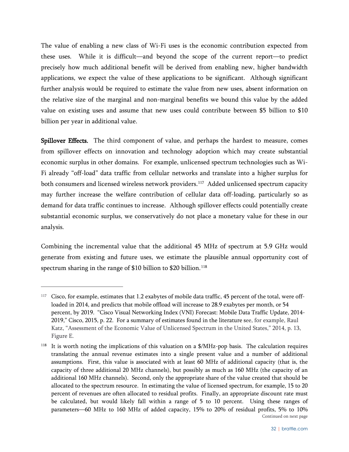The value of enabling a new class of Wi-Fi uses is the economic contribution expected from these uses. While it is difficult—and beyond the scope of the current report—to predict precisely how much additional benefit will be derived from enabling new, higher bandwidth applications, we expect the value of these applications to be significant. Although significant further analysis would be required to estimate the value from new uses, absent information on the relative size of the marginal and non-marginal benefits we bound this value by the added value on existing uses and assume that new uses could contribute between \$5 billion to \$10 billion per year in additional value.

Spillover Effects. The third component of value, and perhaps the hardest to measure, comes from spillover effects on innovation and technology adoption which may create substantial economic surplus in other domains. For example, unlicensed spectrum technologies such as Wi-Fi already "off-load" data traffic from cellular networks and translate into a higher surplus for both consumers and licensed wireless network providers.<sup>[117](#page-37-0)</sup> Added unlicensed spectrum capacity may further increase the welfare contribution of cellular data off-loading, particularly so as demand for data traffic continues to increase. Although spillover effects could potentially create substantial economic surplus, we conservatively do not place a monetary value for these in our analysis.

Combining the incremental value that the additional 45 MHz of spectrum at 5.9 GHz would generate from existing and future uses, we estimate the plausible annual opportunity cost of spectrum sharing in the range of \$10 billion to \$20 billion.<sup>[118](#page-37-1)</sup>

<span id="page-37-0"></span><sup>&</sup>lt;sup>117</sup> Cisco, for example, estimates that 1.2 exabytes of mobile data traffic, 45 percent of the total, were offloaded in 2014, and predicts that mobile offload will increase to 28.9 exabytes per month, or 54 percent, by 2019. "Cisco Visual Networking Index (VNI) Forecast: Mobile Data Traffic Update, 2014- 2019," Cisco, 2015, p. 22. For a summary of estimates found in the literature see, for example, Raul Katz, "Assessment of the Economic Value of Unlicensed Spectrum in the United States," 2014, p. 13, Figure E.

<span id="page-37-1"></span><sup>&</sup>lt;sup>118</sup> It is worth noting the implications of this valuation on a \$/MHz-pop basis. The calculation requires translating the annual revenue estimates into a single present value and a number of additional assumptions. First, this value is associated with at least 60 MHz of additional capacity (that is, the capacity of three additional 20 MHz channels), but possibly as much as 160 MHz (the capacity of an additional 160 MHz channels). Second, only the appropriate share of the value created that should be allocated to the spectrum resource. In estimating the value of licensed spectrum, for example, 15 to 20 percent of revenues are often allocated to residual profits. Finally, an appropriate discount rate must be calculated, but would likely fall within a range of 5 to 10 percent. Using these ranges of parameters—60 MHz to 160 MHz of added capacity, 15% to 20% of residual profits, 5% to 10% Continued on next page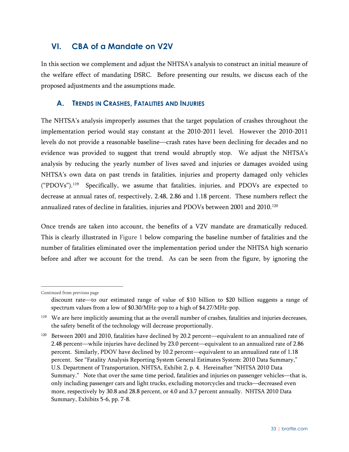## <span id="page-38-0"></span>**VI. CBA of a Mandate on V2V**

In this section we complement and adjust the NHTSA's analysis to construct an initial measure of the welfare effect of mandating DSRC. Before presenting our results, we discuss each of the proposed adjustments and the assumptions made.

#### <span id="page-38-1"></span>**A. TRENDS IN CRASHES, FATALITIES AND INJURIES**

The NHTSA's analysis improperly assumes that the target population of crashes throughout the implementation period would stay constant at the 2010-2011 level. However the 2010-2011 levels do not provide a reasonable baseline—crash rates have been declining for decades and no evidence was provided to suggest that trend would abruptly stop. We adjust the NHTSA's analysis by reducing the yearly number of lives saved and injuries or damages avoided using NHTSA's own data on past trends in fatalities, injuries and property damaged only vehicles ("PDOVs"). [119](#page-38-2) Specifically, we assume that fatalities, injuries, and PDOVs are expected to decrease at annual rates of, respectively, 2.48, 2.86 and 1.18 percent. These numbers reflect the annualized rates of decline in fatalities, injuries and PDOVs between 2001 and 2010.<sup>120</sup>

Once trends are taken into account, the benefits of a V2V mandate are dramatically reduced. This is clearly illustrated in [Figure 1](#page-39-0) below comparing the baseline number of fatalities and the number of fatalities eliminated over the implementation period under the NHTSA high scenario before and after we account for the trend. As can be seen from the figure, by ignoring the

Continued from previous page

discount rate—to our estimated range of value of \$10 billion to \$20 billion suggests a range of spectrum values from a low of \$0.30/MHz-pop to a high of \$4.27/MHz-pop.

<span id="page-38-2"></span><sup>&</sup>lt;sup>119</sup> We are here implicitly assuming that as the overall number of crashes, fatalities and injuries decreases, the safety benefit of the technology will decrease proportionally.

<span id="page-38-3"></span><sup>&</sup>lt;sup>120</sup> Between 2001 and 2010, fatalities have declined by 20.2 percent—equivalent to an annualized rate of 2.48 percent—while injuries have declined by 23.0 percent—equivalent to an annualized rate of 2.86 percent. Similarly, PDOV have declined by 10.2 percent—equivalent to an annualized rate of 1.18 percent. See "Fatality Analysis Reporting System General Estimates System: 2010 Data Summary," U.S. Department of Transportation, NHTSA, Exhibit 2, p. 4. Hereinafter "NHTSA 2010 Data Summary." Note that over the same time period, fatalities and injuries on passenger vehicles—that is, only including passenger cars and light trucks, excluding motorcycles and trucks—decreased even more, respectively by 30.8 and 28.8 percent, or 4.0 and 3.7 percent annually. NHTSA 2010 Data Summary, Exhibits 5-6, pp. 7-8.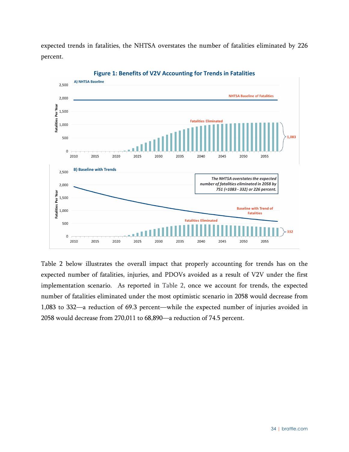expected trends in fatalities, the NHTSA overstates the number of fatalities eliminated by 226 percent.

<span id="page-39-0"></span>

**Figure 1: Benefits of V2V Accounting for Trends in Fatalities**

[Table 2](#page-40-1) below illustrates the overall impact that properly accounting for trends has on the expected number of fatalities, injuries, and PDOVs avoided as a result of V2V under the first implementation scenario. As reported in [Table 2,](#page-40-1) once we account for trends, the expected number of fatalities eliminated under the most optimistic scenario in 2058 would decrease from 1,083 to 332—a reduction of 69.3 percent—while the expected number of injuries avoided in 2058 would decrease from 270,011 to 68,890—a reduction of 74.5 percent.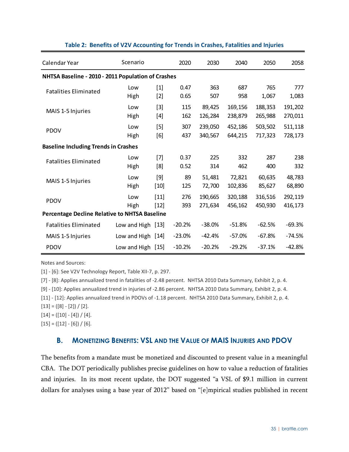<span id="page-40-1"></span>

| Calendar Year                                      | Scenario            |                  | 2020         | 2030               | 2040               | 2050               | 2058               |
|----------------------------------------------------|---------------------|------------------|--------------|--------------------|--------------------|--------------------|--------------------|
| NHTSA Baseline - 2010 - 2011 Population of Crashes |                     |                  |              |                    |                    |                    |                    |
| <b>Fatalities Eliminated</b>                       | Low<br>High         | $[1]$<br>$[2]$   | 0.47<br>0.65 | 363<br>507         | 687<br>958         | 765<br>1,067       | 777<br>1,083       |
| MAIS 1-5 Injuries                                  | Low<br>High         | $[3]$<br>$[4]$   | 115<br>162   | 89,425<br>126,284  | 169,156<br>238,879 | 188,353<br>265,988 | 191,202<br>270,011 |
| <b>PDOV</b>                                        | Low<br>High         | $[5]$<br>[6]     | 307<br>437   | 239,050<br>340,567 | 452,186<br>644,215 | 503,502<br>717,323 | 511,118<br>728,173 |
| <b>Baseline Including Trends in Crashes</b>        |                     |                  |              |                    |                    |                    |                    |
| <b>Fatalities Eliminated</b>                       | Low<br>High         | $[7]$<br>[8]     | 0.37<br>0.52 | 225<br>314         | 332<br>462         | 287<br>400         | 238<br>332         |
| MAIS 1-5 Injuries                                  | Low<br>High         | $[9]$<br>$[10]$  | 89<br>125    | 51,481<br>72,700   | 72,821<br>102,836  | 60,635<br>85,627   | 48,783<br>68,890   |
| <b>PDOV</b>                                        | Low<br>High         | $[11]$<br>$[12]$ | 276<br>393   | 190,665<br>271,634 | 320,188<br>456,162 | 316,516<br>450,930 | 292,119<br>416,173 |
| Percentage Decline Relative to NHTSA Baseline      |                     |                  |              |                    |                    |                    |                    |
| <b>Fatalities Eliminated</b>                       | Low and High $[13]$ |                  | $-20.2%$     | $-38.0%$           | $-51.8%$           | $-62.5%$           | $-69.3%$           |
| MAIS 1-5 Injuries                                  | Low and High [14]   |                  | $-23.0%$     | $-42.4%$           | $-57.0%$           | $-67.8%$           | $-74.5%$           |
| <b>PDOV</b>                                        | Low and High $[15]$ |                  | $-10.2%$     | $-20.2%$           | $-29.2%$           | $-37.1%$           | $-42.8%$           |

#### **Table 2: Benefits of V2V Accounting for Trends in Crashes, Fatalities and Injuries**

Notes and Sources:

[1] - [6]: See V2V Technology Report, Table XII-7, p. 297.

[7] - [8]: Applies annualized trend in fatalities of -2.48 percent. NHTSA 2010 Data Summary, Exhibit 2, p. 4.

[9] - [10]: Applies annualized trend in injuries of -2.86 percent. NHTSA 2010 Data Summary, Exhibit 2, p. 4.

[11] - [12]: Applies annualized trend in PDOVs of -1.18 percent. NHTSA 2010 Data Summary, Exhibit 2, p. 4.

 $[13] = \bigl([8] - [2]\bigr) \bigm/ [2].$ 

 $[14] = ([10] - [4]) / [4].$ 

<span id="page-40-0"></span> $[15] = ([12] - [6]) / [6].$ 

#### **B. MONETIZING BENEFITS: VSL AND THE VALUE OF MAIS INJURIES AND PDOV**

The benefits from a mandate must be monetized and discounted to present value in a meaningful CBA. The DOT periodically publishes precise guidelines on how to value a reduction of fatalities and injuries. In its most recent update, the DOT suggested "a VSL of \$9.1 million in current dollars for analyses using a base year of 2012" based on "[e]mpirical studies published in recent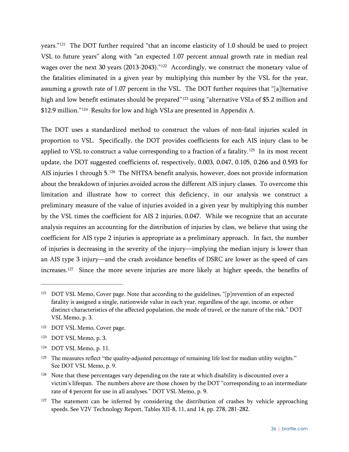years."[121](#page-41-0) The DOT further required "that an income elasticity of 1.0 should be used to project VSL to future years" along with "an expected 1.07 percent annual growth rate in median real wages over the next 30 years (2013-2043)."[122](#page-41-1) Accordingly, we construct the monetary value of the fatalities eliminated in a given year by multiplying this number by the VSL for the year, assuming a growth rate of 1.07 percent in the VSL. The DOT further requires that "[a]lternative high and low benefit estimates should be prepared"<sup>[123](#page-41-2)</sup> using "alternative VSLs of \$5.2 million and \$12.9 million."[124](#page-41-3) Results for low and high VSLs are presented in Appendix A.

The DOT uses a standardized method to construct the values of non-fatal injuries scaled in proportion to VSL. Specifically, the DOT provides coefficients for each AIS injury class to be applied to VSL to construct a value corresponding to a fraction of a fatality.<sup>[125](#page-41-4)</sup> In its most recent update, the DOT suggested coefficients of, respectively, 0.003, 0.047, 0.105, 0.266 and 0.593 for AIS injuries 1 through 5.[126](#page-41-5) The NHTSA benefit analysis, however, does not provide information about the breakdown of injuries avoided across the different AIS injury classes. To overcome this limitation and illustrate how to correct this deficiency, in our analysis we construct a preliminary measure of the value of injuries avoided in a given year by multiplying this number by the VSL times the coefficient for AIS 2 injuries, 0.047. While we recognize that an accurate analysis requires an accounting for the distribution of injuries by class, we believe that using the coefficient for AIS type 2 injuries is appropriate as a preliminary approach. In fact, the number of injuries is decreasing in the severity of the injury—implying the median injury is lower than an AIS type 3 injury—and the crash avoidance benefits of DSRC are lower as the speed of cars increases.<sup>[127](#page-41-6)</sup> Since the more severe injuries are more likely at higher speeds, the benefits of

<span id="page-41-0"></span><sup>&</sup>lt;sup>121</sup> DOT VSL Memo, Cover page. Note that according to the guidelines, "[p] revention of an expected fatality is assigned a single, nationwide value in each year, regardless of the age, income, or other distinct characteristics of the affected population, the mode of travel, or the nature of the risk." DOT VSL Memo, p. 3.

<span id="page-41-1"></span><sup>122</sup> DOT VSL Memo, Cover page.

<span id="page-41-2"></span><sup>123</sup> DOT VSL Memo, p. 3.

<span id="page-41-3"></span><sup>124</sup> DOT VSL Memo, p. 11.

<span id="page-41-4"></span><sup>&</sup>lt;sup>125</sup> The measures reflect "the quality-adjusted percentage of remaining life lost for median utility weights." See DOT VSL Memo, p. 9.

<span id="page-41-5"></span><sup>&</sup>lt;sup>126</sup> Note that these percentages vary depending on the rate at which disability is discounted over a victim's lifespan. The numbers above are those chosen by the DOT "corresponding to an intermediate rate of 4 percent for use in all analyses." DOT VSL Memo, p. 9.

<span id="page-41-6"></span> $127$  The statement can be inferred by considering the distribution of crashes by vehicle approaching speeds. See V2V Technology Report, Tables XII-8, 11, and 14, pp. 278, 281-282.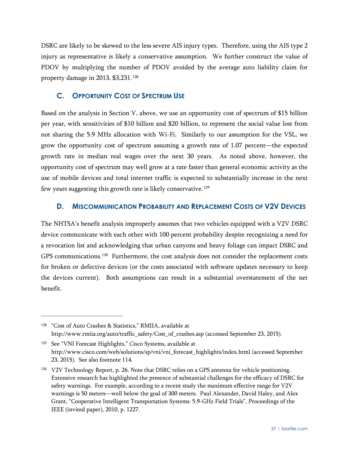DSRC are likely to be skewed to the less severe AIS injury types. Therefore, using the AIS type 2 injury as representative is likely a conservative assumption. We further construct the value of PDOV by multiplying the number of PDOV avoided by the average auto liability claim for property damage in 2013, \$3,231. [128](#page-42-2)

#### <span id="page-42-0"></span>**C. OPPORTUNITY COST OF SPECTRUM USE**

 $\overline{a}$ 

Based on the analysis in Section V, above, we use an opportunity cost of spectrum of \$15 billion per year, with sensitivities of \$10 billion and \$20 billion, to represent the social value lost from not sharing the 5.9 MHz allocation with Wi-Fi. Similarly to our assumption for the VSL, we grow the opportunity cost of spectrum assuming a growth rate of 1.07 percent—the expected growth rate in median real wages over the next 30 years. As noted above, however, the opportunity cost of spectrum may well grow at a rate faster than general economic activity as the use of mobile devices and total internet traffic is expected to substantially increase in the next few years suggesting this growth rate is likely conservative.<sup>[129](#page-42-3)</sup>

#### <span id="page-42-1"></span>**D. MISCOMMUNICATION PROBABILITY AND REPLACEMENT COSTS OF V2V DEVICES**

The NHTSA's benefit analysis improperly assumes that two vehicles equipped with a V2V DSRC device communicate with each other with 100 percent probability despite recognizing a need for a revocation list and acknowledging that urban canyons and heavy foliage can impact DSRC and GPS communications.<sup>[130](#page-42-4)</sup> Furthermore, the cost analysis does not consider the replacement costs for broken or defective devices (or the costs associated with software updates necessary to keep the devices current). Both assumptions can result in a substantial overstatement of the net benefit.

<span id="page-42-2"></span><sup>&</sup>lt;sup>128</sup> "Cost of Auto Crashes & Statistics," RMIIA, available at http://www.rmiia.org/auto/traffic\_safety/Cost\_of\_crashes.asp (accessed September 23, 2015).

<span id="page-42-3"></span><sup>&</sup>lt;sup>129</sup> See "VNI Forecast Highlights," Cisco Systems, available at http://www.cisco.com/web/solutions/sp/vni/vni\_forecast\_highlights/index.html (accessed September 23, 2015). See also footnote [114.](#page-35-4)

<span id="page-42-4"></span><sup>&</sup>lt;sup>130</sup> V2V Technology Report, p. 26. Note that DSRC relies on a GPS antenna for vehicle positioning. Extensive research has highlighted the presence of substantial challenges for the efficacy of DSRC for safety warnings. For example, according to a recent study the maximum effective range for V2V warnings is 50 meters—well below the goal of 300 meters. Paul Alexander, David Haley, and Alex Grant, "Cooperative Intelligent Transportation Systems: 5.9-GHz Field Trials", Proceedings of the IEEE (invited paper), 2010, p. 1227.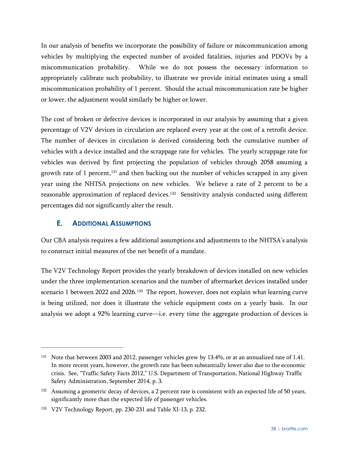In our analysis of benefits we incorporate the possibility of failure or miscommunication among vehicles by multiplying the expected number of avoided fatalities, injuries and PDOVs by a miscommunication probability. While we do not possess the necessary information to appropriately calibrate such probability, to illustrate we provide initial estimates using a small miscommunication probability of 1 percent. Should the actual miscommunication rate be higher or lower, the adjustment would similarly be higher or lower.

The cost of broken or defective devices is incorporated in our analysis by assuming that a given percentage of V2V devices in circulation are replaced every year at the cost of a retrofit device. The number of devices in circulation is derived considering both the cumulative number of vehicles with a device installed and the scrappage rate for vehicles. The yearly scrappage rate for vehicles was derived by first projecting the population of vehicles through 2058 assuming a growth rate of 1 percent,<sup>[131](#page-43-1)</sup> and then backing out the number of vehicles scrapped in any given year using the NHTSA projections on new vehicles. We believe a rate of 2 percent to be a reasonable approximation of replaced devices. [132](#page-43-2) Sensitivity analysis conducted using different percentages did not significantly alter the result.

## <span id="page-43-0"></span>**E. ADDITIONAL ASSUMPTIONS**

 $\overline{a}$ 

Our CBA analysis requires a few additional assumptions and adjustments to the NHTSA's analysis to construct initial measures of the net benefit of a mandate.

The V2V Technology Report provides the yearly breakdown of devices installed on new vehicles under the three implementation scenarios and the number of aftermarket devices installed under scenario 1 between 2022 and 2026.<sup>133</sup> The report, however, does not explain what learning curve is being utilized, nor does it illustrate the vehicle equipment costs on a yearly basis. In our analysis we adopt a 92% learning curve—i.e. every time the aggregate production of devices is

<span id="page-43-1"></span><sup>&</sup>lt;sup>131</sup> Note that between 2003 and 2012, passenger vehicles grew by 13.4%, or at an annualized rate of 1.41. In more recent years, however, the growth rate has been substantially lower also due to the economic crisis. See, "Traffic Safety Facts 2012," U.S. Department of Transportation, National Highway Traffic Safety Administration, September 2014, p. 3.

<span id="page-43-2"></span><sup>&</sup>lt;sup>132</sup> Assuming a geometric decay of devices, a 2 percent rate is consistent with an expected life of 50 years, significantly more than the expected life of passenger vehicles.

<span id="page-43-3"></span><sup>133</sup> V2V Technology Report, pp. 230-231 and Table XI-13, p. 232.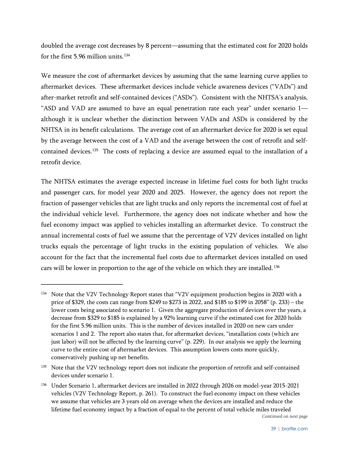doubled the average cost decreases by 8 percent—assuming that the estimated cost for 2020 holds for the first 5.96 million units. $134$ 

We measure the cost of aftermarket devices by assuming that the same learning curve applies to aftermarket devices. These aftermarket devices include vehicle awareness devices ("VADs") and after-market retrofit and self-contained devices ("ASDs"). Consistent with the NHTSA's analysis, "ASD and VAD are assumed to have an equal penetration rate each year" under scenario 1 although it is unclear whether the distinction between VADs and ASDs is considered by the NHTSA in its benefit calculations. The average cost of an aftermarket device for 2020 is set equal by the average between the cost of a VAD and the average between the cost of retrofit and self-contained devices.<sup>[135](#page-44-1)</sup> The costs of replacing a device are assumed equal to the installation of a retrofit device.

The NHTSA estimates the average expected increase in lifetime fuel costs for both light trucks and passenger cars, for model year 2020 and 2025. However, the agency does not report the fraction of passenger vehicles that are light trucks and only reports the incremental cost of fuel at the individual vehicle level. Furthermore, the agency does not indicate whether and how the fuel economy impact was applied to vehicles installing an aftermarket device. To construct the annual incremental costs of fuel we assume that the percentage of V2V devices installed on light trucks equals the percentage of light trucks in the existing population of vehicles. We also account for the fact that the incremental fuel costs due to aftermarket devices installed on used cars will be lower in proportion to the age of the vehicle on which they are installed.[136](#page-44-2)

 $\overline{a}$ 

<span id="page-44-1"></span><sup>135</sup> Note that the V2V technology report does not indicate the proportion of retrofit and self-contained devices under scenario 1.

<span id="page-44-0"></span><sup>&</sup>lt;sup>134</sup> Note that the V2V Technology Report states that "V2V equipment production begins in 2020 with a price of \$329, the costs can range from \$249 to \$273 in 2022, and \$185 to \$199 in 2058" (p. 233) – the lower costs being associated to scenario 1. Given the aggregate production of devices over the years, a decrease from \$329 to \$185 is explained by a 92% learning curve if the estimated cost for 2020 holds for the first 5.96 million units. This is the number of devices installed in 2020 on new cars under scenarios 1 and 2. The report also states that, for aftermarket devices, "installation costs (which are just labor) will not be affected by the learning curve" (p. 229). In our analysis we apply the learning curve to the entire cost of aftermarket devices. This assumption lowers costs more quickly, conservatively pushing up net benefits.

<span id="page-44-2"></span><sup>&</sup>lt;sup>136</sup> Under Scenario 1, aftermarket devices are installed in 2022 through 2026 on model-year 2015-2021 vehicles (V2V Technology Report, p. 261). To construct the fuel economy impact on these vehicles we assume that vehicles are 3 years old on average when the devices are installed and reduce the lifetime fuel economy impact by a fraction of equal to the percent of total vehicle miles traveled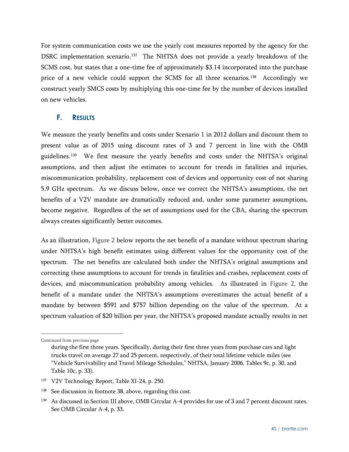For system communication costs we use the yearly cost measures reported by the agency for the DSRC implementation scenario.<sup>137</sup> The NHTSA does not provide a yearly breakdown of the SCMS cost, but states that a one-time fee of approximately \$3.14 incorporated into the purchase price of a new vehicle could support the SCMS for all three scenarios. [138](#page-45-2) Accordingly we construct yearly SMCS costs by multiplying this one-time fee by the number of devices installed on new vehicles.

#### <span id="page-45-0"></span>**F. RESULTS**

We measure the yearly benefits and costs under Scenario 1 in 2012 dollars and discount them to present value as of 2015 using discount rates of 3 and 7 percent in line with the OMB guidelines.<sup>[139](#page-45-3)</sup> We first measure the yearly benefits and costs under the NHTSA's original assumptions, and then adjust the estimates to account for trends in fatalities and injuries, miscommunication probability, replacement cost of devices and opportunity cost of not sharing 5.9 GHz spectrum. As we discuss below, once we correct the NHTSA's assumptions, the net benefits of a V2V mandate are dramatically reduced and, under some parameter assumptions, become negative. Regardless of the set of assumptions used for the CBA, sharing the spectrum always creates significantly better outcomes.

As an illustration, [Figure 2](#page-46-0) below reports the net benefit of a mandate without spectrum sharing under NHTSA's high benefit estimates using different values for the opportunity cost of the spectrum. The net benefits are calculated both under the NHTSA's original assumptions and correcting these assumptions to account for trends in fatalities and crashes, replacement costs of devices, and miscommunication probability among vehicles. As illustrated in [Figure 2,](#page-46-0) the benefit of a mandate under the NHTSA's assumptions overestimates the actual benefit of a mandate by between \$591 and \$757 billion depending on the value of the spectrum. At a spectrum valuation of \$20 billion per year, the NHTSA's proposed mandate actually results in net

 $\overline{a}$ Continued from previous page

during the first three years. Specifically, during their first three years from purchase cars and light trucks travel on average 27 and 25 percent, respectively, of their total lifetime vehicle miles (see "Vehicle Survivability and Travel Mileage Schedules," NHTSA, January 2006, Tables 9c, p. 30, and Table 10c, p. 33).

<span id="page-45-1"></span><sup>&</sup>lt;sup>137</sup> V2V Technology Report, Table XI-24, p. 250.

<span id="page-45-2"></span><sup>&</sup>lt;sup>138</sup> See discussion in footnote [38,](#page-14-7) above, regarding this cost.

<span id="page-45-3"></span><sup>139</sup> As discussed in Sectio[n III](#page-16-0) above, OMB Circular A-4 provides for use of 3 and 7 percent discount rates. See OMB Circular A-4, p. 33.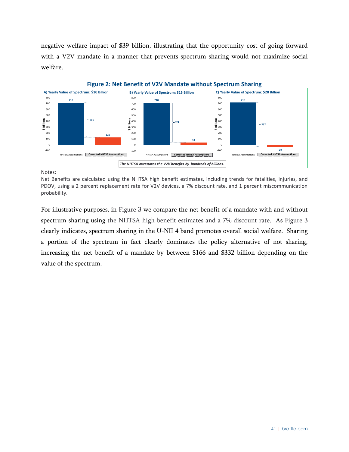negative welfare impact of \$39 billion, illustrating that the opportunity cost of going forward with a V2V mandate in a manner that prevents spectrum sharing would not maximize social welfare.

<span id="page-46-0"></span>

Notes:

Net Benefits are calculated using the NHTSA high benefit estimates, including trends for fatalities, injuries, and PDOV, using a 2 percent replacement rate for V2V devices, a 7% discount rate, and 1 percent miscommunication probability.

For illustrative purposes, in [Figure 3](#page-47-0) we compare the net benefit of a mandate with and without spectrum sharing using the NHTSA high benefit estimates and a 7% discount rate. As [Figure 3](#page-47-0) clearly indicates, spectrum sharing in the U-NII 4 band promotes overall social welfare. Sharing a portion of the spectrum in fact clearly dominates the policy alternative of not sharing, increasing the net benefit of a mandate by between \$166 and \$332 billion depending on the value of the spectrum.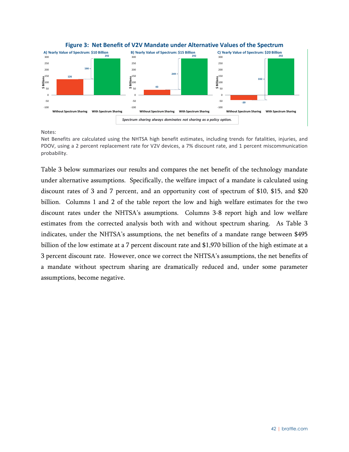<span id="page-47-0"></span>



Notes:

Net Benefits are calculated using the NHTSA high benefit estimates, including trends for fatalities, injuries, and PDOV, using a 2 percent replacement rate for V2V devices, a 7% discount rate, and 1 percent miscommunication probability.

[Table 3](#page-48-0) below summarizes our results and compares the net benefit of the technology mandate under alternative assumptions. Specifically, the welfare impact of a mandate is calculated using discount rates of 3 and 7 percent, and an opportunity cost of spectrum of \$10, \$15, and \$20 billion. Columns 1 and 2 of the table report the low and high welfare estimates for the two discount rates under the NHTSA's assumptions. Columns 3-8 report high and low welfare estimates from the corrected analysis both with and without spectrum sharing. As [Table 3](#page-48-0) indicates, under the NHTSA's assumptions, the net benefits of a mandate range between \$495 billion of the low estimate at a 7 percent discount rate and \$1,970 billion of the high estimate at a 3 percent discount rate. However, once we correct the NHTSA's assumptions, the net benefits of a mandate without spectrum sharing are dramatically reduced and, under some parameter assumptions, become negative.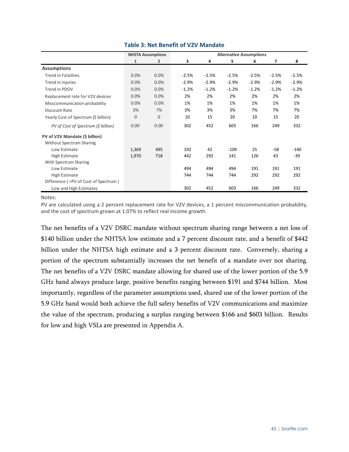<span id="page-48-0"></span>

|                                      |              | <b>NHSTA Assumptions</b> |         |         | <b>Alternative Assumptions</b> |         |         |         |
|--------------------------------------|--------------|--------------------------|---------|---------|--------------------------------|---------|---------|---------|
|                                      | $\mathbf{1}$ | 2                        | 3       | 4       | 5                              | 6       | 7       | 8       |
| <b>Assumptions</b>                   |              |                          |         |         |                                |         |         |         |
| <b>Trend in Fatalities</b>           | 0.0%         | 0.0%                     | $-2.5%$ | $-2.5%$ | $-2.5%$                        | $-2.5%$ | $-2.5%$ | $-2.5%$ |
| Trend in Injuries                    | 0.0%         | 0.0%                     | $-2.9%$ | $-2.9%$ | $-2.9%$                        | $-2.9%$ | $-2.9%$ | $-2.9%$ |
| Trend in PDOV                        | 0.0%         | 0.0%                     | $-1.2%$ | $-1.2%$ | $-1.2%$                        | $-1.2%$ | $-1.2%$ | $-1.2%$ |
| Replacement rate for V2V devices     | 0.0%         | 0.0%                     | 2%      | 2%      | 2%                             | 2%      | 2%      | 2%      |
| Misscommunication probability        | 0.0%         | 0.0%                     | 1%      | 1%      | 1%                             | 1%      | 1%      | 1%      |
| Discount Rate                        | 3%           | 7%                       | 3%      | 3%      | 3%                             | 7%      | 7%      | 7%      |
| Yearly Cost of Spectrum (\$ billion) | $\mathbf{0}$ | $\mathbf{0}$             | 10      | 15      | 20                             | 10      | 15      | 20      |
| PV of Cost of Spectrum (\$ billion)  | 0.00         | 0.00                     | 302     | 452     | 603                            | 166     | 249     | 332     |
| PV of V2V Mandate (\$ billion)       |              |                          |         |         |                                |         |         |         |
| <b>Without Spectrum Sharing</b>      |              |                          |         |         |                                |         |         |         |
| Low Estimate                         | 1,369        | 495                      | 192     | 42      | $-109$                         | 25      | $-58$   | $-140$  |
| <b>High Estimate</b>                 | 1,970        | 718                      | 442     | 292     | 141                            | 126     | 43      | $-39$   |
| With Spectrum Sharing                |              |                          |         |         |                                |         |         |         |
| Low Estimate                         |              |                          | 494     | 494     | 494                            | 191     | 191     | 191     |
| <b>High Estimate</b>                 |              |                          | 744     | 744     | 744                            | 292     | 292     | 292     |
| Difference (=PV of Cost of Spectrum) |              |                          |         |         |                                |         |         |         |
| Low and High Estimates               |              |                          | 302     | 452     | 603                            | 166     | 249     | 332     |

#### **Table 3: Net Benefit of V2V Mandate**

Notes:

PV are calculated using a 2 percent replacement rate for V2V devices, a 1 percent miscommunication probability, and the cost of spectrum grown at 1.07% to reflect real income growth.

The net benefits of a V2V DSRC mandate without spectrum sharing range between a net loss of \$140 billion under the NHTSA low estimate and a 7 percent discount rate, and a benefit of \$442 billion under the NHTSA high estimate and a 3 percent discount rate. Conversely, sharing a portion of the spectrum substantially increases the net benefit of a mandate over not sharing. The net benefits of a V2V DSRC mandate allowing for shared use of the lower portion of the 5.9 GHz band always produce large, positive benefits ranging between \$191 and \$744 billion. Most importantly, regardless of the parameter assumptions used, shared use of the lower portion of the 5.9 GHz band would both achieve the full safety benefits of V2V communications and maximize the value of the spectrum, producing a surplus ranging between \$166 and \$603 billion. Results for low and high VSLs are presented in Appendix A.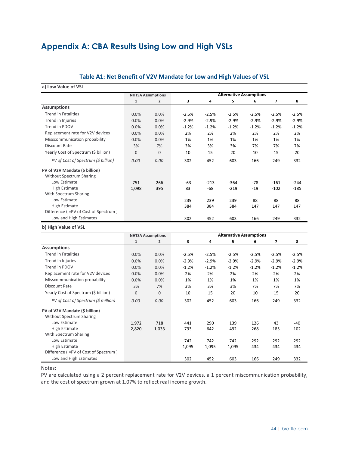## <span id="page-49-0"></span>**Appendix A: CBA Results Using Low and High VSLs**

#### **Table A1: Net Benefit of V2V Mandate for Low and High Values of VSL**

#### **a) Low Value of VSL**

|                                      |                | <b>NHTSA Assumptions</b> |         |         | <b>Alternative Assumptions</b> |         |         |         |
|--------------------------------------|----------------|--------------------------|---------|---------|--------------------------------|---------|---------|---------|
|                                      | 1              | 2                        | 3       | 4       | 5                              | 6       | 7       | 8       |
| <b>Assumptions</b>                   |                |                          |         |         |                                |         |         |         |
| <b>Trend in Fatalities</b>           | 0.0%           | 0.0%                     | $-2.5%$ | $-2.5%$ | $-2.5%$                        | $-2.5%$ | $-2.5%$ | $-2.5%$ |
| Trend in Injuries                    | 0.0%           | 0.0%                     | $-2.9%$ | $-2.9%$ | $-2.9%$                        | $-2.9%$ | $-2.9%$ | $-2.9%$ |
| Trend in PDOV                        | 0.0%           | 0.0%                     | $-1.2%$ | $-1.2%$ | $-1.2%$                        | $-1.2%$ | $-1.2%$ | $-1.2%$ |
| Replacement rate for V2V devices     | 0.0%           | 0.0%                     | 2%      | 2%      | 2%                             | 2%      | 2%      | 2%      |
| Misscommunication probability        | 0.0%           | 0.0%                     | 1%      | 1%      | 1%                             | 1%      | 1%      | 1%      |
| Discount Rate                        | 3%             | 7%                       | 3%      | 3%      | 3%                             | 7%      | 7%      | 7%      |
| Yearly Cost of Spectrum (\$ billion) | $\overline{0}$ | $\overline{0}$           | 10      | 15      | 20                             | 10      | 15      | 20      |
| PV of Cost of Spectrum (\$ billion)  | 0.00           | 0.00                     | 302     | 452     | 603                            | 166     | 249     | 332     |
| PV of V2V Mandate (\$ billion)       |                |                          |         |         |                                |         |         |         |
| <b>Without Spectrum Sharing</b>      |                |                          |         |         |                                |         |         |         |
| Low Estimate                         | 751            | 266                      | -63     | $-213$  | $-364$                         | $-78$   | $-161$  | $-244$  |
| High Estimate                        | 1,098          | 395                      | 83      | -68     | $-219$                         | $-19$   | $-102$  | $-185$  |
| With Spectrum Sharing                |                |                          |         |         |                                |         |         |         |
| Low Estimate                         |                |                          | 239     | 239     | 239                            | 88      | 88      | 88      |
| High Estimate                        |                |                          | 384     | 384     | 384                            | 147     | 147     | 147     |
| Difference (=PV of Cost of Spectrum) |                |                          |         |         |                                |         |         |         |
| Low and High Estimates               |                |                          | 302     | 452     | 603                            | 166     | 249     | 332     |

#### **b) High Value of VSL**

|                                      |                | <b>NHTSA Assumptions</b> |         |         | <b>Alternative Assumptions</b> |         |         |         |
|--------------------------------------|----------------|--------------------------|---------|---------|--------------------------------|---------|---------|---------|
|                                      | 1              | 2                        | 3       | 4       | 5                              | 6       | 7       | 8       |
| <b>Assumptions</b>                   |                |                          |         |         |                                |         |         |         |
| <b>Trend in Fatalities</b>           | 0.0%           | 0.0%                     | $-2.5%$ | $-2.5%$ | $-2.5%$                        | $-2.5%$ | $-2.5%$ | $-2.5%$ |
| Trend in Injuries                    | 0.0%           | 0.0%                     | $-2.9%$ | $-2.9%$ | $-2.9%$                        | $-2.9%$ | $-2.9%$ | $-2.9%$ |
| Trend in PDOV                        | 0.0%           | 0.0%                     | $-1.2%$ | $-1.2%$ | $-1.2%$                        | $-1.2%$ | $-1.2%$ | $-1.2%$ |
| Replacement rate for V2V devices     | 0.0%           | 0.0%                     | 2%      | 2%      | 2%                             | 2%      | 2%      | 2%      |
| Misscommunication probability        | 0.0%           | 0.0%                     | 1%      | 1%      | 1%                             | 1%      | 1%      | 1%      |
| Discount Rate                        | 3%             | 7%                       | 3%      | 3%      | 3%                             | 7%      | 7%      | 7%      |
| Yearly Cost of Spectrum (\$ billion) | $\overline{0}$ | 0                        | 10      | 15      | 20                             | 10      | 15      | 20      |
| PV of Cost of Spectrum (\$ million)  | 0.00           | 0.00                     | 302     | 452     | 603                            | 166     | 249     | 332     |
| PV of V2V Mandate (\$ billion)       |                |                          |         |         |                                |         |         |         |
| <b>Without Spectrum Sharing</b>      |                |                          |         |         |                                |         |         |         |
| Low Estimate                         | 1,972          | 718                      | 441     | 290     | 139                            | 126     | 43      | $-40$   |
| High Estimate                        | 2,820          | 1,033                    | 793     | 642     | 492                            | 268     | 185     | 102     |
| With Spectrum Sharing                |                |                          |         |         |                                |         |         |         |
| Low Estimate                         |                |                          | 742     | 742     | 742                            | 292     | 292     | 292     |
| High Estimate                        |                |                          | 1,095   | 1,095   | 1,095                          | 434     | 434     | 434     |
| Difference (=PV of Cost of Spectrum) |                |                          |         |         |                                |         |         |         |
| Low and High Estimates               |                |                          | 302     | 452     | 603                            | 166     | 249     | 332     |

Notes:

PV are calculated using a 2 percent replacement rate for V2V devices, a 1 percent miscommunication probability, and the cost of spectrum grown at 1.07% to reflect real income growth.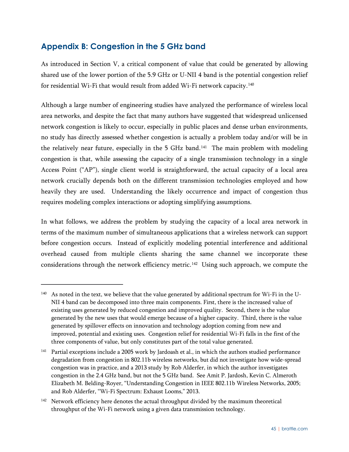## <span id="page-50-0"></span>**Appendix B: Congestion in the 5 GHz band**

 $\overline{a}$ 

As introduced in Section [V,](#page-27-0) a critical component of value that could be generated by allowing shared use of the lower portion of the 5.9 GHz or U-NII 4 band is the potential congestion relief for residential Wi-Fi that would result from added Wi-Fi network capacity.<sup>140</sup>

Although a large number of engineering studies have analyzed the performance of wireless local area networks, and despite the fact that many authors have suggested that widespread unlicensed network congestion is likely to occur, especially in public places and dense urban environments, no study has directly assessed whether congestion is actually a problem today and/or will be in the relatively near future, especially in the 5 GHz band.<sup>[141](#page-50-2)</sup> The main problem with modeling congestion is that, while assessing the capacity of a single transmission technology in a single Access Point ("AP"), single client world is straightforward, the actual capacity of a local area network crucially depends both on the different transmission technologies employed and how heavily they are used. Understanding the likely occurrence and impact of congestion thus requires modeling complex interactions or adopting simplifying assumptions.

In what follows, we address the problem by studying the capacity of a local area network in terms of the maximum number of simultaneous applications that a wireless network can support before congestion occurs. Instead of explicitly modeling potential interference and additional overhead caused from multiple clients sharing the same channel we incorporate these considerations through the network efficiency metric.<sup>142</sup> Using such approach, we compute the

<span id="page-50-1"></span><sup>140</sup> As noted in the text, we believe that the value generated by additional spectrum for Wi-Fi in the U-NII 4 band can be decomposed into three main components. First, there is the increased value of existing uses generated by reduced congestion and improved quality. Second, there is the value generated by the new uses that would emerge because of a higher capacity. Third, there is the value generated by spillover effects on innovation and technology adoption coming from new and improved, potential and existing uses. Congestion relief for residential Wi-Fi falls in the first of the three components of value, but only constitutes part of the total value generated.

<span id="page-50-2"></span><sup>&</sup>lt;sup>141</sup> Partial exceptions include a 2005 work by Jardoash et al., in which the authors studied performance degradation from congestion in 802.11b wireless networks, but did not investigate how wide-spread congestion was in practice, and a 2013 study by Rob Alderfer, in which the author investigates congestion in the 2.4 GHz band, but not the 5 GHz band. See Amit P. Jardosh, Kevin C. Almeroth Elizabeth M. Belding-Royer, "Understanding Congestion in IEEE 802.11b Wireless Networks, 2005; and Rob Alderfer, "Wi-Fi Spectrum: Exhaust Looms," 2013.

<span id="page-50-3"></span><sup>&</sup>lt;sup>142</sup> Network efficiency here denotes the actual throughput divided by the maximum theoretical throughput of the Wi-Fi network using a given data transmission technology.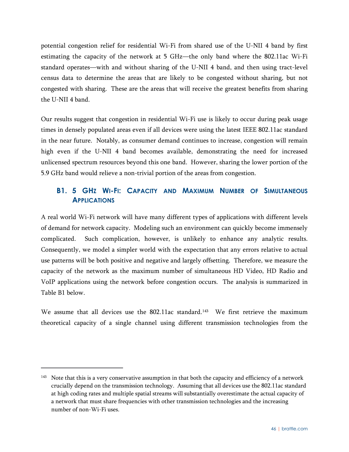potential congestion relief for residential Wi-Fi from shared use of the U-NII 4 band by first estimating the capacity of the network at 5 GHz—the only band where the 802.11ac Wi-Fi standard operates—with and without sharing of the U-NII 4 band, and then using tract-level census data to determine the areas that are likely to be congested without sharing, but not congested with sharing. These are the areas that will receive the greatest benefits from sharing the U-NII 4 band.

Our results suggest that congestion in residential Wi-Fi use is likely to occur during peak usage times in densely populated areas even if all devices were using the latest IEEE 802.11ac standard in the near future. Notably, as consumer demand continues to increase, congestion will remain high even if the U-NII 4 band becomes available, demonstrating the need for increased unlicensed spectrum resources beyond this one band. However, sharing the lower portion of the 5.9 GHz band would relieve a non-trivial portion of the areas from congestion.

## <span id="page-51-0"></span>**B1. 5 GHZ WI-FI: CAPACITY AND MAXIMUM NUMBER OF SIMULTANEOUS APPLICATIONS**

A real world Wi-Fi network will have many different types of applications with different levels of demand for network capacity. Modeling such an environment can quickly become immensely complicated. Such complication, however, is unlikely to enhance any analytic results. Consequently, we model a simpler world with the expectation that any errors relative to actual use patterns will be both positive and negative and largely offsetting. Therefore, we measure the capacity of the network as the maximum number of simultaneous HD Video, HD Radio and VoIP applications using the network before congestion occurs. The analysis is summarized in Table B1 below.

We assume that all devices use the 802.11ac standard.<sup>143</sup> We first retrieve the maximum theoretical capacity of a single channel using different transmission technologies from the

<span id="page-51-1"></span><sup>&</sup>lt;sup>143</sup> Note that this is a very conservative assumption in that both the capacity and efficiency of a network crucially depend on the transmission technology. Assuming that all devices use the 802.11ac standard at high coding rates and multiple spatial streams will substantially overestimate the actual capacity of a network that must share frequencies with other transmission technologies and the increasing number of non-Wi-Fi uses.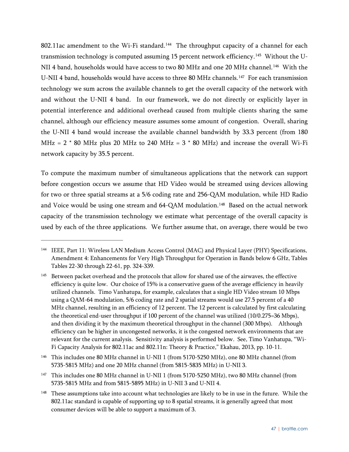802.11ac amendment to the Wi-Fi standard.<sup>144</sup> The throughput capacity of a channel for each transmission technology is computed assuming 15 percent network efficiency.<sup>145</sup> Without the U-NII 4 band, households would have access to two 80 MHz and one 20 MHz channel.<sup>146</sup> With the U-NII 4 band, households would have access to three 80 MHz channels.[147](#page-52-3) For each transmission technology we sum across the available channels to get the overall capacity of the network with and without the U-NII 4 band. In our framework, we do not directly or explicitly layer in potential interference and additional overhead caused from multiple clients sharing the same channel, although our efficiency measure assumes some amount of congestion. Overall, sharing the U-NII 4 band would increase the available channel bandwidth by 33.3 percent (from 180 MHz =  $2 * 80$  MHz plus 20 MHz to 240 MHz =  $3 * 80$  MHz) and increase the overall Wi-Fi network capacity by 35.5 percent.

To compute the maximum number of simultaneous applications that the network can support before congestion occurs we assume that HD Video would be streamed using devices allowing for two or three spatial streams at a 5/6 coding rate and 256-QAM modulation, while HD Radio and Voice would be using one stream and 64-QAM modulation.<sup>148</sup> Based on the actual network capacity of the transmission technology we estimate what percentage of the overall capacity is used by each of the three applications. We further assume that, on average, there would be two

 $\overline{a}$ 

<span id="page-52-2"></span><sup>146</sup> This includes one 80 MHz channel in U-NII 1 (from 5170-5250 MHz), one 80 MHz channel (from 5735-5815 MHz) and one 20 MHz channel (from 5815-5835 MHz) in U-NII 3.

<span id="page-52-3"></span><sup>147</sup> This includes one 80 MHz channel in U-NII 1 (from 5170-5250 MHz), two 80 MHz channel (from 5735-5815 MHz and from 5815-5895 MHz) in U-NII 3 and U-NII 4.

<span id="page-52-0"></span><sup>144</sup> IEEE, Part 11: Wireless LAN Medium Access Control (MAC) and Physical Layer (PHY) Specifications, Amendment 4: Enhancements for Very High Throughput for Operation in Bands below 6 GHz, Tables Tables 22-30 through 22-61, pp. 324-339.

<span id="page-52-1"></span><sup>&</sup>lt;sup>145</sup> Between packet overhead and the protocols that allow for shared use of the airwaves, the effective efficiency is quite low. Our choice of 15% is a conservative guess of the average efficiency in heavily utilized channels. Timo Vanhatupa, for example, calculates that a single HD Video stream 10 Mbps using a QAM-64 modulation, 5/6 coding rate and 2 spatial streams would use 27.5 percent of a 40 MHz channel, resulting in an efficiency of 12 percent. The 12 percent is calculated by first calculating the theoretical end-user throughput if 100 percent of the channel was utilized (10/0.275=36 Mbps), and then dividing it by the maximum theoretical throughput in the channel (300 Mbps). Although efficiency can be higher in uncongested networks, it is the congested network environments that are relevant for the current analysis. Sensitivity analysis is performed below. See, Timo Vanhatupa, "Wi-Fi Capacity Analysis for 802.11ac and 802.11n: Theory & Practice," Ekahau, 2013, pp. 10-11.

<span id="page-52-4"></span><sup>&</sup>lt;sup>148</sup> These assumptions take into account what technologies are likely to be in use in the future. While the 802.11ac standard is capable of supporting up to 8 spatial streams, it is generally agreed that most consumer devices will be able to support a maximum of 3.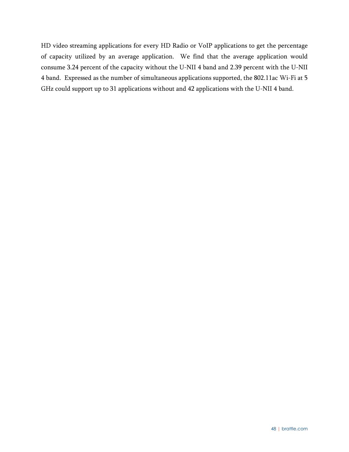HD video streaming applications for every HD Radio or VoIP applications to get the percentage of capacity utilized by an average application. We find that the average application would consume 3.24 percent of the capacity without the U-NII 4 band and 2.39 percent with the U-NII 4 band. Expressed as the number of simultaneous applications supported, the 802.11ac Wi-Fi at 5 GHz could support up to 31 applications without and 42 applications with the U-NII 4 band.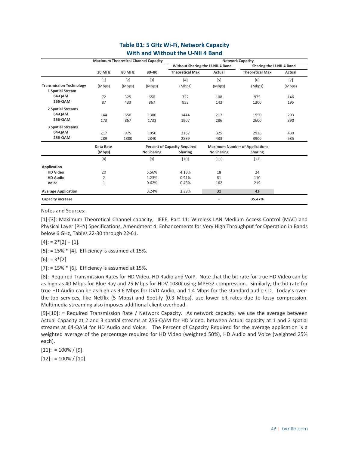|                                |                  |               | <b>Maximum Theoretical Channel Capacity</b> |                                     |                   | <b>Network Capacity</b>               |        |
|--------------------------------|------------------|---------------|---------------------------------------------|-------------------------------------|-------------------|---------------------------------------|--------|
|                                |                  |               |                                             | Without Sharing the U-NII-4 Band    |                   | Sharing the U-NII-4 Band              |        |
|                                | 20 MHz           | <b>80 MHz</b> | $80 + 80$                                   | <b>Theoretical Max</b>              | Actual            | <b>Theoretical Max</b>                | Actual |
|                                | $[1]$            | $[2]$         | $[3]$                                       | $[4]$                               | $[5]$             | $[6]$                                 | $[7]$  |
| <b>Transmission Technology</b> | (Mbps)           | (Mbps)        | (Mbps)                                      | (Mbps)                              | (Mbps)            | (Mbps)                                | (Mbps) |
| 1 Spatial Stream               |                  |               |                                             |                                     |                   |                                       |        |
| 64-QAM                         | 72               | 325           | 650                                         | 722                                 | 108               | 975                                   | 146    |
| 256-QAM                        | 87               | 433           | 867                                         | 953                                 | 143               | 1300                                  | 195    |
| <b>2 Spatial Streams</b>       |                  |               |                                             |                                     |                   |                                       |        |
| 64-QAM                         | 144              | 650           | 1300                                        | 1444                                | 217               | 1950                                  | 293    |
| 256-QAM                        | 173              | 867           | 1733                                        | 1907                                | 286               | 2600                                  | 390    |
| <b>3 Spatial Streams</b>       |                  |               |                                             |                                     |                   |                                       |        |
| 64-QAM                         | 217              | 975           | 1950                                        | 2167                                | 325               | 2925                                  | 439    |
| 256-QAM                        | 289              | 1300          | 2340                                        | 2889                                | 433               | 3900                                  | 585    |
|                                | <b>Data Rate</b> |               |                                             | <b>Percent of Capacity Required</b> |                   | <b>Maximum Number of Applications</b> |        |
|                                | (Mbps)           |               | <b>No Sharing</b>                           | <b>Sharing</b>                      | <b>No Sharing</b> | <b>Sharing</b>                        |        |
|                                | [8]              |               | $[9]$                                       | $[10]$                              | $[11]$            | $[12]$                                |        |
| Application                    |                  |               |                                             |                                     |                   |                                       |        |
| <b>HD Video</b>                | 20               |               | 5.56%                                       | 4.10%                               | 18                | 24                                    |        |
| <b>HD Audio</b>                | 2                |               | 1.23%                                       | 0.91%                               | 81                | 110                                   |        |
| Voice                          | $\mathbf{1}$     |               | 0.62%                                       | 0.46%                               | 162               | 219                                   |        |
| <b>Avarage Application</b>     |                  |               | 3.24%                                       | 2.39%                               | 31                | 42                                    |        |
| <b>Capacity increase</b>       |                  |               |                                             |                                     |                   | 35.47%                                |        |

#### **Table B1: 5 GHz Wi-Fi, Network Capacity With and Without the U-NII 4 Band**

Notes and Sources:

[1]-[3]: Maximum Theoretical Channel capacity, IEEE, Part 11: Wireless LAN Medium Access Control (MAC) and Physical Layer (PHY) Specifications, Amendment 4: Enhancements for Very High Throughput for Operation in Bands below 6 GHz, Tables 22-30 through 22-61.

 $[4]$ : = 2\* $[2]$  +  $[1]$ .

 $[5]$ : = 15%  $*$  [4]. Efficiency is assumed at 15%.

 $[6]$ : = 3\*[2].

 $[7]$ : = 15%  $*$  [6]. Efficiency is assumed at 15%.

[8]: Required Transmission Rates for HD Video, HD Radio and VoIP. Note that the bit rate for true HD Video can be as high as 40 Mbps for Blue Ray and 25 Mbps for HDV 1080i using MPEG2 compression. Similarly, the bit rate for true HD Audio can be as high as 9.6 Mbps for DVD Audio, and 1.4 Mbps for the standard audio CD. Today's overthe-top services, like Netflix (5 Mbps) and Spotify (0.3 Mbps), use lower bit rates due to lossy compression. Multimedia streaming also imposes additional client overhead.

[9]-[10]: = Required Transmission Rate / Network Capacity. As network capacity, we use the average between Actual Capacity at 2 and 3 spatial streams at 256-QAM for HD Video, between Actual capacity at 1 and 2 spatial streams at 64-QAM for HD Audio and Voice. The Percent of Capacity Required for the average application is a weighted average of the percentage required for HD Video (weighted 50%), HD Audio and Voice (weighted 25% each).

 $[11]$ : = 100% / [9].  $[12]$ : = 100% /  $[10]$ .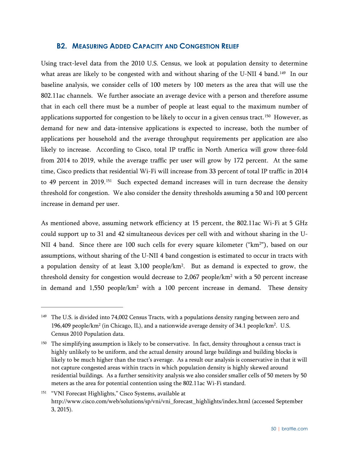#### <span id="page-55-0"></span>**B2. MEASURING ADDED CAPACITY AND CONGESTION RELIEF**

Using tract-level data from the 2010 U.S. Census, we look at population density to determine what areas are likely to be congested with and without sharing of the U-NII 4 band.<sup>[149](#page-55-1)</sup> In our baseline analysis, we consider cells of 100 meters by 100 meters as the area that will use the 802.11ac channels. We further associate an average device with a person and therefore assume that in each cell there must be a number of people at least equal to the maximum number of applications supported for congestion to be likely to occur in a given census tract.<sup>150</sup> However, as demand for new and data-intensive applications is expected to increase, both the number of applications per household and the average throughput requirements per application are also likely to increase. According to Cisco, total IP traffic in North America will grow three-fold from 2014 to 2019, while the average traffic per user will grow by 172 percent. At the same time, Cisco predicts that residential Wi-Fi will increase from 33 percent of total IP traffic in 2014 to 49 percent in 2019.<sup>[151](#page-55-3)</sup> Such expected demand increases will in turn decrease the density threshold for congestion. We also consider the density thresholds assuming a 50 and 100 percent increase in demand per user.

As mentioned above, assuming network efficiency at 15 percent, the 802.11ac Wi-Fi at 5 GHz could support up to 31 and 42 simultaneous devices per cell with and without sharing in the U-NII 4 band. Since there are 100 such cells for every square kilometer ("km<sup>2</sup>"), based on our assumptions, without sharing of the U-NII 4 band congestion is estimated to occur in tracts with a population density of at least 3,100 people/km2 . But as demand is expected to grow, the threshold density for congestion would decrease to 2,067 people/ $km^2$  with a 50 percent increase in demand and  $1,550$  people/km<sup>2</sup> with a 100 percent increase in demand. These density

<span id="page-55-1"></span><sup>&</sup>lt;sup>149</sup> The U.S. is divided into 74,002 Census Tracts, with a populations density ranging between zero and 196,409 people/km<sup>2</sup> (in Chicago, IL), and a nationwide average density of 34.1 people/km<sup>2</sup>. U.S. Census 2010 Population data.

<span id="page-55-2"></span><sup>&</sup>lt;sup>150</sup> The simplifying assumption is likely to be conservative. In fact, density throughout a census tract is highly unlikely to be uniform, and the actual density around large buildings and building blocks is likely to be much higher than the tract's average. As a result our analysis is conservative in that it will not capture congested areas within tracts in which population density is highly skewed around residential buildings. As a further sensitivity analysis we also consider smaller cells of 50 meters by 50 meters as the area for potential contention using the 802.11ac Wi-Fi standard.

<span id="page-55-3"></span><sup>&</sup>lt;sup>151</sup> "VNI Forecast Highlights," Cisco Systems, available at http://www.cisco.com/web/solutions/sp/vni/vni\_forecast\_highlights/index.html (accessed September 3, 2015).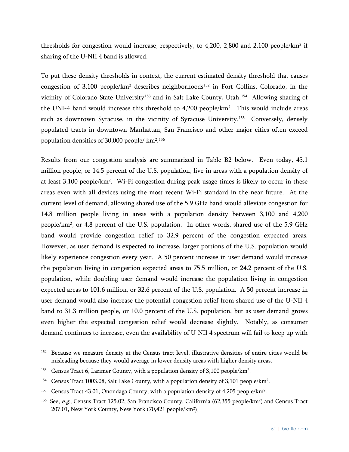thresholds for congestion would increase, respectively, to  $4,200, 2,800$  and  $2,100$  people/km<sup>2</sup> if sharing of the U-NII 4 band is allowed.

To put these density thresholds in context, the current estimated density threshold that causes congestion of 3,100 people/km<sup>2</sup> describes neighborhoods<sup>[152](#page-56-0)</sup> in Fort Collins, Colorado, in the vicinity of Colorado State University<sup>[153](#page-56-1)</sup> and in Salt Lake County, Utah.<sup>154</sup> Allowing sharing of the UNI-4 band would increase this threshold to  $4,200$  people/km<sup>2</sup>. This would include areas such as downtown Syracuse, in the vicinity of Syracuse University.<sup>[155](#page-56-3)</sup> Conversely, densely populated tracts in downtown Manhattan, San Francisco and other major cities often exceed population densities of 30,000 people/ km2. [156](#page-56-4)

Results from our congestion analysis are summarized in Table B2 below. Even today, 45.1 million people, or 14.5 percent of the U.S. population, live in areas with a population density of at least 3,100 people/km<sup>2</sup>. Wi-Fi congestion during peak usage times is likely to occur in these areas even with all devices using the most recent Wi-Fi standard in the near future. At the current level of demand, allowing shared use of the 5.9 GHz band would alleviate congestion for 14.8 million people living in areas with a population density between 3,100 and 4,200 people/km2, or 4.8 percent of the U.S. population. In other words, shared use of the 5.9 GHz band would provide congestion relief to 32.9 percent of the congestion expected areas. However, as user demand is expected to increase, larger portions of the U.S. population would likely experience congestion every year. A 50 percent increase in user demand would increase the population living in congestion expected areas to 75.5 million, or 24.2 percent of the U.S. population, while doubling user demand would increase the population living in congestion expected areas to 101.6 million, or 32.6 percent of the U.S. population. A 50 percent increase in user demand would also increase the potential congestion relief from shared use of the U-NII 4 band to 31.3 million people, or 10.0 percent of the U.S. population, but as user demand grows even higher the expected congestion relief would decrease slightly. Notably, as consumer demand continues to increase, even the availability of U-NII 4 spectrum will fail to keep up with

<span id="page-56-0"></span><sup>152</sup> Because we measure density at the Census tract level, illustrative densities of entire cities would be misleading because they would average in lower density areas with higher density areas.

<span id="page-56-1"></span><sup>&</sup>lt;sup>153</sup> Census Tract 6, Larimer County, with a population density of 3,100 people/km<sup>2</sup>.

<span id="page-56-2"></span><sup>&</sup>lt;sup>154</sup> Census Tract 1003.08, Salt Lake County, with a population density of 3,101 people/km<sup>2</sup>.

<span id="page-56-3"></span><sup>&</sup>lt;sup>155</sup> Census Tract 43.01, Onondaga County, with a population density of 4,205 people/km<sup>2</sup>.

<span id="page-56-4"></span><sup>&</sup>lt;sup>156</sup> See, e.g., Census Tract 125.02, San Francisco County, California (62,355 people/km<sup>2</sup>) and Census Tract 207.01, New York County, New York (70,421 people/km2).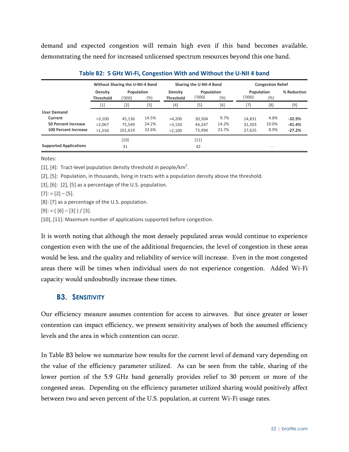demand and expected congestion will remain high even if this band becomes available, demonstrating the need for increased unlicensed spectrum resources beyond this one band.

|                               |                                    | Without Sharing the U-NII-4 Band |       |                                    | Sharing the U-NII-4 Band |        | <b>Congestion Relief</b>    |                          |             |  |
|-------------------------------|------------------------------------|----------------------------------|-------|------------------------------------|--------------------------|--------|-----------------------------|--------------------------|-------------|--|
|                               | <b>Density</b><br><b>Threshold</b> | Population<br>(%)<br>('000)      |       | <b>Density</b><br><b>Threshold</b> | Population<br>('000)     | $(\%)$ | Population<br>('000)<br>(%) |                          | % Reduction |  |
|                               | $[1]$                              | $[2]$                            | $[3]$ | $[4]$                              | $[5]$                    | [6]    | $[7]$                       | [8]                      | $[9]$       |  |
| <b>User Demand</b>            |                                    |                                  |       |                                    |                          |        |                             |                          |             |  |
| Current                       | >3.100                             | 45.136                           | 14.5% | >4,200                             | 30.304                   | 9.7%   | 14,831                      | 4.8%                     | $-32.9%$    |  |
| <b>50 Percent Increase</b>    | >2,067                             | 75.549                           | 24.2% | >3,150                             | 44.247                   | 14.2%  | 31.303                      | 10.0%                    | $-41.4%$    |  |
| <b>100 Percent Increase</b>   | >1.550                             | 101.619                          | 32.6% | >2.100                             | 73.994                   | 23.7%  | 27.625                      | 8.9%                     | $-27.2%$    |  |
|                               |                                    | $[10]$                           |       |                                    | $[11]$                   |        |                             |                          |             |  |
| <b>Supported Applications</b> |                                    | 31                               |       |                                    | 42                       |        |                             | $\overline{\phantom{a}}$ |             |  |

|  |  |  |  | Table B2: 5 GHz Wi-Fi, Congestion With and Without the U-NII 4 band |  |
|--|--|--|--|---------------------------------------------------------------------|--|
|--|--|--|--|---------------------------------------------------------------------|--|

Notes:

[1], [4]: Tract-level population density threshold in people/km<sup>2</sup>.

[2], [5]: Population, in thousands, living in tracts with a population density above the threshold.

[3], [6]: [2], [5] as a percentage of the U.S. population.

 $[7]$ : =  $[2] - [5]$ .

[8]: [7] as a percentage of the U.S. population.

 $[9]: = ([6] - [3]) / [3].$ 

[10], [11]: Maximum number of applications supported before congestion.

It is worth noting that although the most densely populated areas would continue to experience congestion even with the use of the additional frequencies, the level of congestion in these areas would be less, and the quality and reliability of service will increase. Even in the most congested areas there will be times when individual users do not experience congestion. Added Wi-Fi capacity would undoubtedly increase these times.

#### <span id="page-57-0"></span>**B3. SENSITIVITY**

Our efficiency measure assumes contention for access to airwaves. But since greater or lesser contention can impact efficiency, we present sensitivity analyses of both the assumed efficiency levels and the area in which contention can occur.

In Table B3 below we summarize how results for the current level of demand vary depending on the value of the efficiency parameter utilized. As can be seen from the table, sharing of the lower portion of the 5.9 GHz band generally provides relief to 30 percent or more of the congested areas. Depending on the efficiency parameter utilized sharing would positively affect between two and seven percent of the U.S. population, at current Wi-Fi usage rates.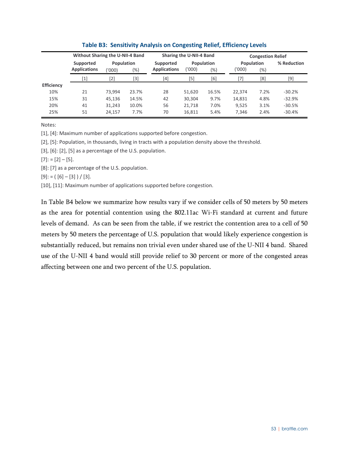|                   | Without Sharing the U-NII-4 Band |                                       |       |                                  | Sharing the U-NII-4 Band |                   | <b>Congestion Relief</b>       |      |             |  |
|-------------------|----------------------------------|---------------------------------------|-------|----------------------------------|--------------------------|-------------------|--------------------------------|------|-------------|--|
|                   | Supported<br><b>Applications</b> | <b>Population</b><br>$(\%)$<br>('000' |       | Supported<br><b>Applications</b> | ('000')                  | Population<br>(%) | Population<br>('000'<br>$(\%)$ |      | % Reduction |  |
|                   | [1]                              | [2]                                   | [3]   | [4]                              | [5]                      | [6]               | [7]                            | [8]  | $[9]$       |  |
| <b>Efficiency</b> |                                  |                                       |       |                                  |                          |                   |                                |      |             |  |
| 10%               | 21                               | 73.994                                | 23.7% | 28                               | 51,620                   | 16.5%             | 22,374                         | 7.2% | $-30.2%$    |  |
| 15%               | 31                               | 45,136                                | 14.5% | 42                               | 30,304                   | 9.7%              | 14,831                         | 4.8% | $-32.9%$    |  |
| 20%               | 41                               | 31,243                                | 10.0% | 56                               | 21,718                   | 7.0%              | 9,525                          | 3.1% | $-30.5%$    |  |
| 25%               | 51                               | 24,157                                | 7.7%  | 70                               | 16,811                   | 5.4%              | 7,346                          | 2.4% | $-30.4%$    |  |

#### **Table B3: Sensitivity Analysis on Congesting Relief, Efficiency Levels**

Notes:

[1], [4]: Maximum number of applications supported before congestion.

[2], [5]: Population, in thousands, living in tracts with a population density above the threshold.

[3], [6]: [2], [5] as a percentage of the U.S. population.

 $[7]: = [2] - [5].$ 

[8]: [7] as a percentage of the U.S. population.

 $[9]$ : = ( $[6] - [3]$ ) / [3].

[10], [11]: Maximum number of applications supported before congestion.

In Table B4 below we summarize how results vary if we consider cells of 50 meters by 50 meters as the area for potential contention using the 802.11ac Wi-Fi standard at current and future levels of demand. As can be seen from the table, if we restrict the contention area to a cell of 50 meters by 50 meters the percentage of U.S. population that would likely experience congestion is substantially reduced, but remains non trivial even under shared use of the U-NII 4 band. Shared use of the U-NII 4 band would still provide relief to 30 percent or more of the congested areas affecting between one and two percent of the U.S. population.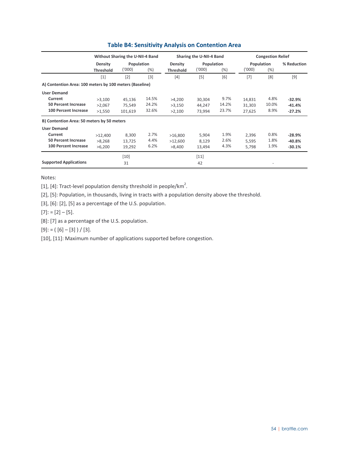|                                                         |                             | Without Sharing the U-NII-4 Band |       |                             | Sharing the U-NII-4 Band |       | <b>Congestion Relief</b> |       |             |  |
|---------------------------------------------------------|-----------------------------|----------------------------------|-------|-----------------------------|--------------------------|-------|--------------------------|-------|-------------|--|
|                                                         | Density<br><b>Threshold</b> | Population<br>('000)             | (%)   | Density<br><b>Threshold</b> | Population<br>('000)     | (%)   | Population<br>('000)     | (% )  | % Reduction |  |
|                                                         | [1]                         | [2]                              | $[3]$ | [4]                         | [5]                      | [6]   | [7]                      | [8]   | [9]         |  |
| A) Contention Area: 100 meters by 100 meters (Baseline) |                             |                                  |       |                             |                          |       |                          |       |             |  |
| <b>User Demand</b>                                      |                             |                                  |       |                             |                          |       |                          |       |             |  |
| Current                                                 | >3,100                      | 45,136                           | 14.5% | >4,200                      | 30,304                   | 9.7%  | 14,831                   | 4.8%  | $-32.9%$    |  |
| <b>50 Percent Increase</b>                              | >2.067                      | 75.549                           | 24.2% | >3,150                      | 44.247                   | 14.2% | 31,303                   | 10.0% | $-41.4%$    |  |
| 100 Percent Increase                                    | >1,550                      | 101,619                          | 32.6% | >2,100                      | 73,994                   | 23.7% | 27,625                   | 8.9%  | $-27.2%$    |  |
| B) Contention Area: 50 meters by 50 meters              |                             |                                  |       |                             |                          |       |                          |       |             |  |
| <b>User Demand</b>                                      |                             |                                  |       |                             |                          |       |                          |       |             |  |
| Current                                                 | >12,400                     | 8,300                            | 2.7%  | >16,800                     | 5,904                    | 1.9%  | 2,396                    | 0.8%  | $-28.9%$    |  |
| <b>50 Percent Increase</b>                              | >8,268                      | 13,725                           | 4.4%  | >12,600                     | 8,129                    | 2.6%  | 5,595                    | 1.8%  | $-40.8%$    |  |
| <b>100 Percent Increase</b>                             | >6,200                      | 19,292                           | 6.2%  | >8,400                      | 13,494                   | 4.3%  | 5,798                    | 1.9%  | $-30.1%$    |  |
|                                                         |                             | $[10]$                           |       |                             | $[11]$                   |       |                          |       |             |  |
| <b>Supported Applications</b>                           |                             | 31                               |       |                             | 42                       |       |                          |       |             |  |

#### **Table B4: Sensitivity Analysis on Contention Area**

Notes:

[1], [4]: Tract-level population density threshold in people/km<sup>2</sup>.

[2], [5]: Population, in thousands, living in tracts with a population density above the threshold.

[3], [6]: [2], [5] as a percentage of the U.S. population.

 $[7]$ : =  $[2] - [5]$ .

[8]: [7] as a percentage of the U.S. population.

 $[9]$ : = ( $[6] - [3]$ ) / [3].

[10], [11]: Maximum number of applications supported before congestion.